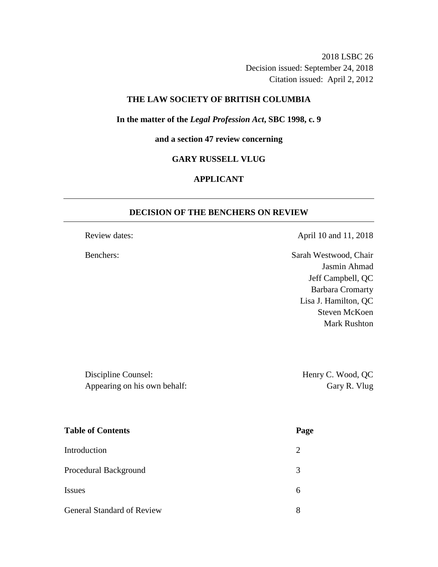2018 LSBC 26 Decision issued: September 24, 2018 Citation issued: April 2, 2012

## **THE LAW SOCIETY OF BRITISH COLUMBIA**

### **In the matter of the** *Legal Profession Act***, SBC 1998, c. 9**

# **and a section 47 review concerning**

# **GARY RUSSELL VLUG**

# **APPLICANT**

### **DECISION OF THE BENCHERS ON REVIEW**

Review dates: April 10 and 11, 2018

Benchers: Sarah Westwood, Chair Jasmin Ahmad Jeff Campbell, QC Barbara Cromarty Lisa J. Hamilton, QC Steven McKoen Mark Rushton

Discipline Counsel: Henry C. Wood, QC Appearing on his own behalf: Gary R. Vlug

| <b>Table of Contents</b>          | Page |
|-----------------------------------|------|
| Introduction                      | 2    |
| Procedural Background             | 3    |
| <b>Issues</b>                     | 6    |
| <b>General Standard of Review</b> | 8    |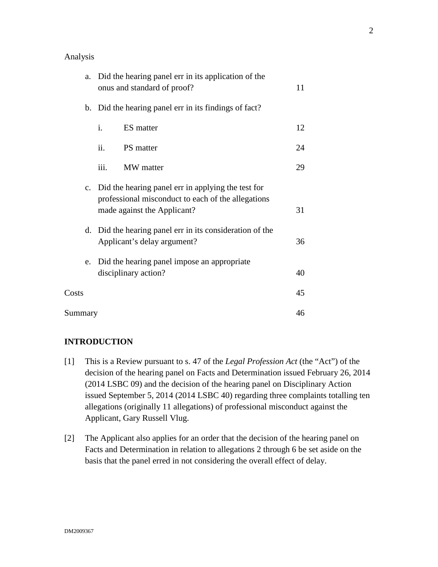### Analysis

| a.      | Did the hearing panel err in its application of the<br>onus and standard of proof?                                                         | 11 |
|---------|--------------------------------------------------------------------------------------------------------------------------------------------|----|
|         | b. Did the hearing panel err in its findings of fact?                                                                                      |    |
|         | i.<br>ES matter                                                                                                                            | 12 |
|         | ii.<br>PS matter                                                                                                                           | 24 |
|         | iii.<br>MW matter                                                                                                                          | 29 |
|         | c. Did the hearing panel err in applying the test for<br>professional misconduct to each of the allegations<br>made against the Applicant? | 31 |
|         | d. Did the hearing panel err in its consideration of the<br>Applicant's delay argument?                                                    | 36 |
| e.      | Did the hearing panel impose an appropriate<br>disciplinary action?                                                                        | 40 |
| Costs   |                                                                                                                                            | 45 |
| Summary |                                                                                                                                            | 46 |

# **INTRODUCTION**

- [1] This is a Review pursuant to s. 47 of the *Legal Profession Act* (the "Act") of the decision of the hearing panel on Facts and Determination issued February 26, 2014 (2014 LSBC 09) and the decision of the hearing panel on Disciplinary Action issued September 5, 2014 (2014 LSBC 40) regarding three complaints totalling ten allegations (originally 11 allegations) of professional misconduct against the Applicant, Gary Russell Vlug.
- [2] The Applicant also applies for an order that the decision of the hearing panel on Facts and Determination in relation to allegations 2 through 6 be set aside on the basis that the panel erred in not considering the overall effect of delay.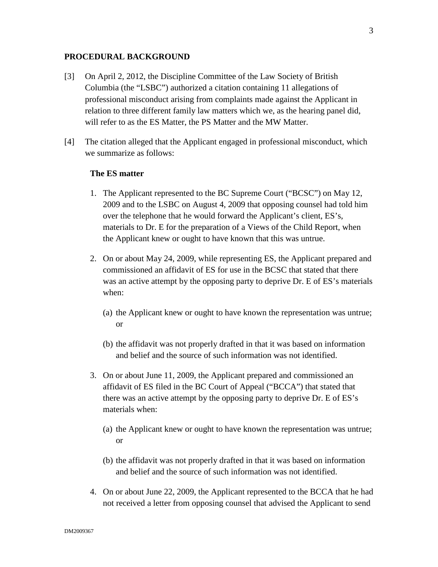### **PROCEDURAL BACKGROUND**

- [3] On April 2, 2012, the Discipline Committee of the Law Society of British Columbia (the "LSBC") authorized a citation containing 11 allegations of professional misconduct arising from complaints made against the Applicant in relation to three different family law matters which we, as the hearing panel did, will refer to as the ES Matter, the PS Matter and the MW Matter.
- [4] The citation alleged that the Applicant engaged in professional misconduct, which we summarize as follows:

# **The ES matter**

- 1. The Applicant represented to the BC Supreme Court ("BCSC") on May 12, 2009 and to the LSBC on August 4, 2009 that opposing counsel had told him over the telephone that he would forward the Applicant's client, ES's, materials to Dr. E for the preparation of a Views of the Child Report, when the Applicant knew or ought to have known that this was untrue.
- 2. On or about May 24, 2009, while representing ES, the Applicant prepared and commissioned an affidavit of ES for use in the BCSC that stated that there was an active attempt by the opposing party to deprive Dr. E of ES's materials when:
	- (a) the Applicant knew or ought to have known the representation was untrue; or
	- (b) the affidavit was not properly drafted in that it was based on information and belief and the source of such information was not identified.
- 3. On or about June 11, 2009, the Applicant prepared and commissioned an affidavit of ES filed in the BC Court of Appeal ("BCCA") that stated that there was an active attempt by the opposing party to deprive Dr. E of ES's materials when:
	- (a) the Applicant knew or ought to have known the representation was untrue; or
	- (b) the affidavit was not properly drafted in that it was based on information and belief and the source of such information was not identified.
- 4. On or about June 22, 2009, the Applicant represented to the BCCA that he had not received a letter from opposing counsel that advised the Applicant to send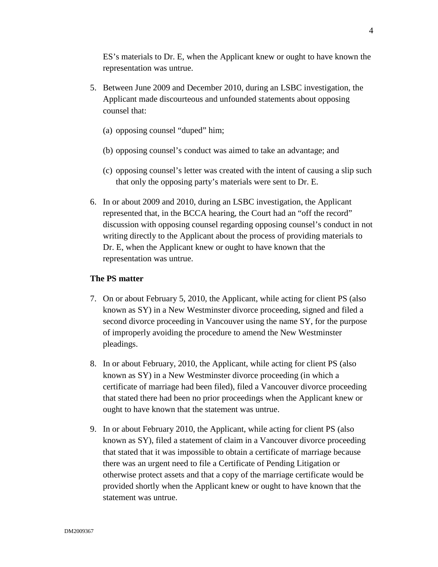ES's materials to Dr. E, when the Applicant knew or ought to have known the representation was untrue.

- 5. Between June 2009 and December 2010, during an LSBC investigation, the Applicant made discourteous and unfounded statements about opposing counsel that:
	- (a) opposing counsel "duped" him;
	- (b) opposing counsel's conduct was aimed to take an advantage; and
	- (c) opposing counsel's letter was created with the intent of causing a slip such that only the opposing party's materials were sent to Dr. E.
- 6. In or about 2009 and 2010, during an LSBC investigation, the Applicant represented that, in the BCCA hearing, the Court had an "off the record" discussion with opposing counsel regarding opposing counsel's conduct in not writing directly to the Applicant about the process of providing materials to Dr. E, when the Applicant knew or ought to have known that the representation was untrue.

### **The PS matter**

- 7. On or about February 5, 2010, the Applicant, while acting for client PS (also known as SY) in a New Westminster divorce proceeding, signed and filed a second divorce proceeding in Vancouver using the name SY, for the purpose of improperly avoiding the procedure to amend the New Westminster pleadings.
- 8. In or about February, 2010, the Applicant, while acting for client PS (also known as SY) in a New Westminster divorce proceeding (in which a certificate of marriage had been filed), filed a Vancouver divorce proceeding that stated there had been no prior proceedings when the Applicant knew or ought to have known that the statement was untrue.
- 9. In or about February 2010, the Applicant, while acting for client PS (also known as SY), filed a statement of claim in a Vancouver divorce proceeding that stated that it was impossible to obtain a certificate of marriage because there was an urgent need to file a Certificate of Pending Litigation or otherwise protect assets and that a copy of the marriage certificate would be provided shortly when the Applicant knew or ought to have known that the statement was untrue.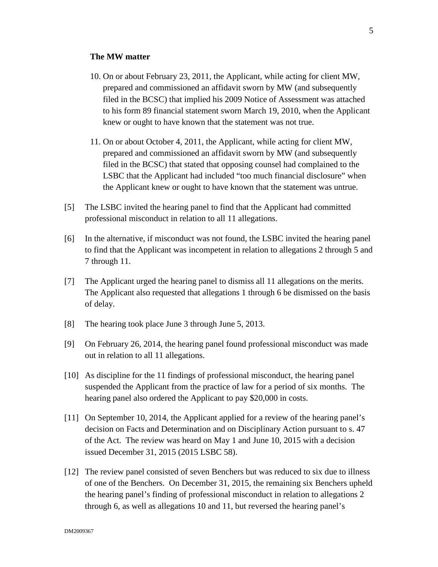### **The MW matter**

- 10. On or about February 23, 2011, the Applicant, while acting for client MW, prepared and commissioned an affidavit sworn by MW (and subsequently filed in the BCSC) that implied his 2009 Notice of Assessment was attached to his form 89 financial statement sworn March 19, 2010, when the Applicant knew or ought to have known that the statement was not true.
- 11. On or about October 4, 2011, the Applicant, while acting for client MW, prepared and commissioned an affidavit sworn by MW (and subsequently filed in the BCSC) that stated that opposing counsel had complained to the LSBC that the Applicant had included "too much financial disclosure" when the Applicant knew or ought to have known that the statement was untrue.
- [5] The LSBC invited the hearing panel to find that the Applicant had committed professional misconduct in relation to all 11 allegations.
- [6] In the alternative, if misconduct was not found, the LSBC invited the hearing panel to find that the Applicant was incompetent in relation to allegations 2 through 5 and 7 through 11.
- [7] The Applicant urged the hearing panel to dismiss all 11 allegations on the merits. The Applicant also requested that allegations 1 through 6 be dismissed on the basis of delay.
- [8] The hearing took place June 3 through June 5, 2013.
- [9] On February 26, 2014, the hearing panel found professional misconduct was made out in relation to all 11 allegations.
- [10] As discipline for the 11 findings of professional misconduct, the hearing panel suspended the Applicant from the practice of law for a period of six months. The hearing panel also ordered the Applicant to pay \$20,000 in costs.
- [11] On September 10, 2014, the Applicant applied for a review of the hearing panel's decision on Facts and Determination and on Disciplinary Action pursuant to s. 47 of the Act. The review was heard on May 1 and June 10, 2015 with a decision issued December 31, 2015 (2015 LSBC 58).
- [12] The review panel consisted of seven Benchers but was reduced to six due to illness of one of the Benchers. On December 31, 2015, the remaining six Benchers upheld the hearing panel's finding of professional misconduct in relation to allegations 2 through 6, as well as allegations 10 and 11, but reversed the hearing panel's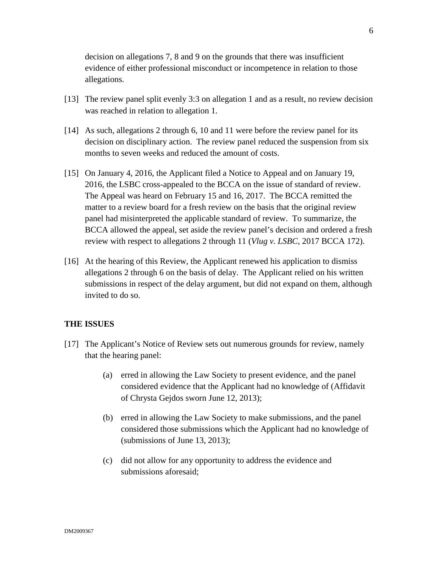decision on allegations 7, 8 and 9 on the grounds that there was insufficient evidence of either professional misconduct or incompetence in relation to those allegations.

- [13] The review panel split evenly 3:3 on allegation 1 and as a result, no review decision was reached in relation to allegation 1.
- [14] As such, allegations 2 through 6, 10 and 11 were before the review panel for its decision on disciplinary action. The review panel reduced the suspension from six months to seven weeks and reduced the amount of costs.
- [15] On January 4, 2016, the Applicant filed a Notice to Appeal and on January 19, 2016, the LSBC cross-appealed to the BCCA on the issue of standard of review. The Appeal was heard on February 15 and 16, 2017. The BCCA remitted the matter to a review board for a fresh review on the basis that the original review panel had misinterpreted the applicable standard of review. To summarize, the BCCA allowed the appeal, set aside the review panel's decision and ordered a fresh review with respect to allegations 2 through 11 (*Vlug v. LSBC*, 2017 BCCA 172).
- [16] At the hearing of this Review, the Applicant renewed his application to dismiss allegations 2 through 6 on the basis of delay. The Applicant relied on his written submissions in respect of the delay argument, but did not expand on them, although invited to do so.

### **THE ISSUES**

- [17] The Applicant's Notice of Review sets out numerous grounds for review, namely that the hearing panel:
	- (a) erred in allowing the Law Society to present evidence, and the panel considered evidence that the Applicant had no knowledge of (Affidavit of Chrysta Gejdos sworn June 12, 2013);
	- (b) erred in allowing the Law Society to make submissions, and the panel considered those submissions which the Applicant had no knowledge of (submissions of June 13, 2013);
	- (c) did not allow for any opportunity to address the evidence and submissions aforesaid;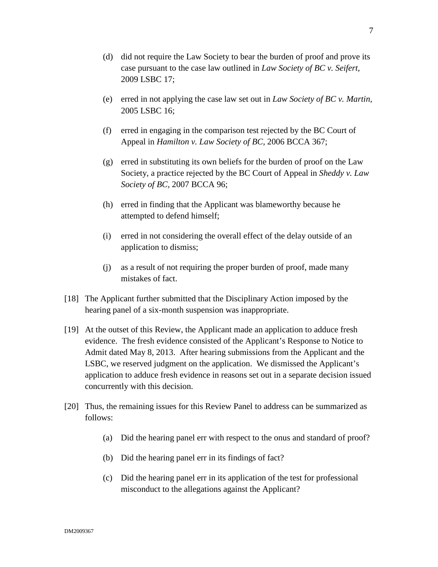- (d) did not require the Law Society to bear the burden of proof and prove its case pursuant to the case law outlined in *Law Society of BC v. Seifert,*  2009 LSBC 17;
- (e) erred in not applying the case law set out in *Law Society of BC v. Martin,*  2005 LSBC 16;
- (f) erred in engaging in the comparison test rejected by the BC Court of Appeal in *Hamilton v. Law Society of BC,* 2006 BCCA 367;
- (g) erred in substituting its own beliefs for the burden of proof on the Law Society, a practice rejected by the BC Court of Appeal in *Sheddy v. Law Society of BC,* 2007 BCCA 96;
- (h) erred in finding that the Applicant was blameworthy because he attempted to defend himself;
- (i) erred in not considering the overall effect of the delay outside of an application to dismiss;
- (j) as a result of not requiring the proper burden of proof, made many mistakes of fact.
- [18] The Applicant further submitted that the Disciplinary Action imposed by the hearing panel of a six-month suspension was inappropriate.
- [19] At the outset of this Review, the Applicant made an application to adduce fresh evidence. The fresh evidence consisted of the Applicant's Response to Notice to Admit dated May 8, 2013. After hearing submissions from the Applicant and the LSBC, we reserved judgment on the application. We dismissed the Applicant's application to adduce fresh evidence in reasons set out in a separate decision issued concurrently with this decision.
- [20] Thus, the remaining issues for this Review Panel to address can be summarized as follows:
	- (a) Did the hearing panel err with respect to the onus and standard of proof?
	- (b) Did the hearing panel err in its findings of fact?
	- (c) Did the hearing panel err in its application of the test for professional misconduct to the allegations against the Applicant?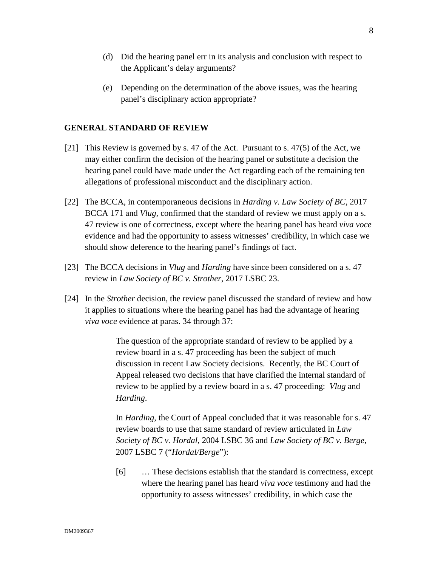- (d) Did the hearing panel err in its analysis and conclusion with respect to the Applicant's delay arguments?
- (e) Depending on the determination of the above issues, was the hearing panel's disciplinary action appropriate?

### **GENERAL STANDARD OF REVIEW**

- [21] This Review is governed by s. 47 of the Act. Pursuant to s. 47(5) of the Act, we may either confirm the decision of the hearing panel or substitute a decision the hearing panel could have made under the Act regarding each of the remaining ten allegations of professional misconduct and the disciplinary action.
- [22] The BCCA, in contemporaneous decisions in *Harding v. Law Society of BC*, 2017 BCCA 171 and *Vlug,* confirmed that the standard of review we must apply on a s. 47 review is one of correctness, except where the hearing panel has heard *viva voce* evidence and had the opportunity to assess witnesses' credibility, in which case we should show deference to the hearing panel's findings of fact.
- [23] The BCCA decisions in *Vlug* and *Harding* have since been considered on a s. 47 review in *Law Society of BC v. Strother*, 2017 LSBC 23.
- [24] In the *Strother* decision, the review panel discussed the standard of review and how it applies to situations where the hearing panel has had the advantage of hearing *viva voce* evidence at paras. 34 through 37:

The question of the appropriate standard of review to be applied by a review board in a s. 47 proceeding has been the subject of much discussion in recent Law Society decisions. Recently, the BC Court of Appeal released two decisions that have clarified the internal standard of review to be applied by a review board in a s. 47 proceeding: *Vlug* and *Harding*.

In *Harding*, the Court of Appeal concluded that it was reasonable for s. 47 review boards to use that same standard of review articulated in *Law Society of BC v. Hordal*, 2004 LSBC 36 and *Law Society of BC v. Berge*, 2007 LSBC 7 ("*Hordal/Berge*"):

[6] … These decisions establish that the standard is correctness, except where the hearing panel has heard *viva voce* testimony and had the opportunity to assess witnesses' credibility, in which case the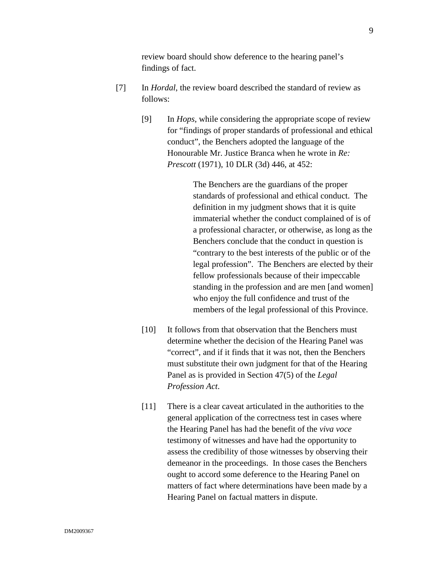review board should show deference to the hearing panel's findings of fact.

- [7] In *Hordal*, the review board described the standard of review as follows:
	- [9] In *Hops*, while considering the appropriate scope of review for "findings of proper standards of professional and ethical conduct", the Benchers adopted the language of the Honourable Mr. Justice Branca when he wrote in *Re: Prescott* (1971), 10 DLR (3d) 446, at 452:

 The Benchers are the guardians of the proper standards of professional and ethical conduct. The definition in my judgment shows that it is quite immaterial whether the conduct complained of is of a professional character, or otherwise, as long as the Benchers conclude that the conduct in question is "contrary to the best interests of the public or of the legal profession". The Benchers are elected by their fellow professionals because of their impeccable standing in the profession and are men [and women] who enjoy the full confidence and trust of the members of the legal professional of this Province.

- [10] It follows from that observation that the Benchers must determine whether the decision of the Hearing Panel was "correct", and if it finds that it was not, then the Benchers must substitute their own judgment for that of the Hearing Panel as is provided in Section 47(5) of the *Legal Profession Act*.
- [11] There is a clear caveat articulated in the authorities to the general application of the correctness test in cases where the Hearing Panel has had the benefit of the *viva voce* testimony of witnesses and have had the opportunity to assess the credibility of those witnesses by observing their demeanor in the proceedings. In those cases the Benchers ought to accord some deference to the Hearing Panel on matters of fact where determinations have been made by a Hearing Panel on factual matters in dispute.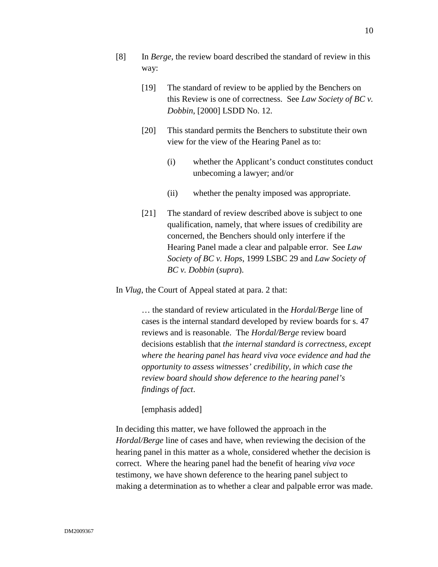- [8] In *Berge*, the review board described the standard of review in this way:
	- [19] The standard of review to be applied by the Benchers on this Review is one of correctness. See *Law Society of BC v. Dobbin*, [2000] LSDD No. 12.
	- [20] This standard permits the Benchers to substitute their own view for the view of the Hearing Panel as to:
		- (i) whether the Applicant's conduct constitutes conduct unbecoming a lawyer; and/or
		- (ii) whether the penalty imposed was appropriate.
	- [21] The standard of review described above is subject to one qualification, namely, that where issues of credibility are concerned, the Benchers should only interfere if the Hearing Panel made a clear and palpable error. See *Law Society of BC v. Hops*, 1999 LSBC 29 and *Law Society of BC v. Dobbin* (*supra*).

In *Vlug*, the Court of Appeal stated at para. 2 that:

… the standard of review articulated in the *Hordal/Berge* line of cases is the internal standard developed by review boards for s. 47 reviews and is reasonable. The *Hordal/Berge* review board decisions establish that *the internal standard is correctness, except where the hearing panel has heard viva voce evidence and had the opportunity to assess witnesses' credibility, in which case the review board should show deference to the hearing panel's findings of fact*.

[emphasis added]

In deciding this matter, we have followed the approach in the *Hordal/Berge* line of cases and have, when reviewing the decision of the hearing panel in this matter as a whole, considered whether the decision is correct. Where the hearing panel had the benefit of hearing *viva voce* testimony, we have shown deference to the hearing panel subject to making a determination as to whether a clear and palpable error was made.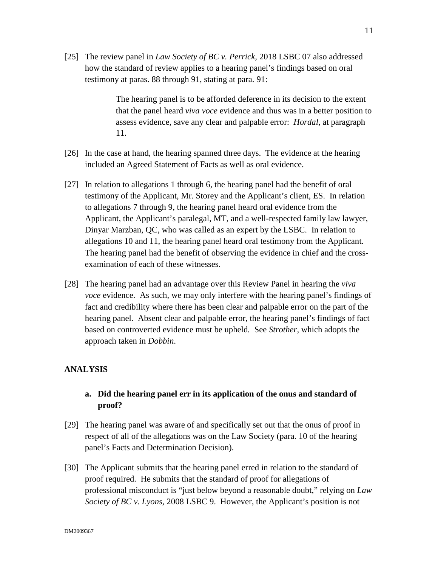[25] The review panel in *Law Society of BC v. Perrick,* 2018 LSBC 07 also addressed how the standard of review applies to a hearing panel's findings based on oral testimony at paras. 88 through 91, stating at para. 91:

> The hearing panel is to be afforded deference in its decision to the extent that the panel heard *viva voce* evidence and thus was in a better position to assess evidence, save any clear and palpable error: *Hordal*, at paragraph 11.

- [26] In the case at hand, the hearing spanned three days. The evidence at the hearing included an Agreed Statement of Facts as well as oral evidence.
- [27] In relation to allegations 1 through 6, the hearing panel had the benefit of oral testimony of the Applicant, Mr. Storey and the Applicant's client, ES. In relation to allegations 7 through 9, the hearing panel heard oral evidence from the Applicant, the Applicant's paralegal, MT, and a well-respected family law lawyer, Dinyar Marzban, QC, who was called as an expert by the LSBC. In relation to allegations 10 and 11, the hearing panel heard oral testimony from the Applicant. The hearing panel had the benefit of observing the evidence in chief and the crossexamination of each of these witnesses.
- [28] The hearing panel had an advantage over this Review Panel in hearing the *viva voce* evidence. As such, we may only interfere with the hearing panel's findings of fact and credibility where there has been clear and palpable error on the part of the hearing panel. Absent clear and palpable error, the hearing panel's findings of fact based on controverted evidence must be upheld*.* See *Strother,* which adopts the approach taken in *Dobbin*.

## **ANALYSIS**

# **a. Did the hearing panel err in its application of the onus and standard of proof?**

- [29] The hearing panel was aware of and specifically set out that the onus of proof in respect of all of the allegations was on the Law Society (para. 10 of the hearing panel's Facts and Determination Decision).
- [30] The Applicant submits that the hearing panel erred in relation to the standard of proof required. He submits that the standard of proof for allegations of professional misconduct is "just below beyond a reasonable doubt," relying on *Law Society of BC v. Lyons*, 2008 LSBC 9. However, the Applicant's position is not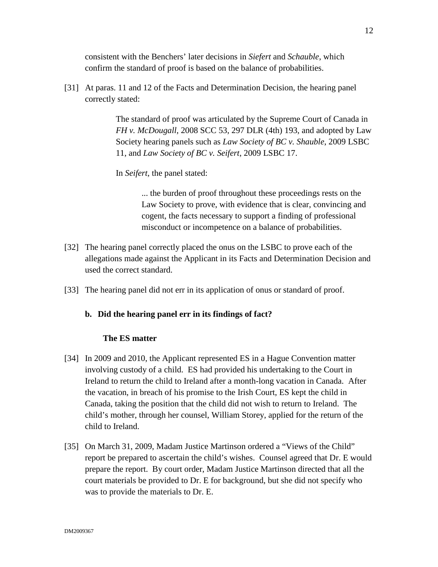consistent with the Benchers' later decisions in *Siefert* and *Schauble*, which confirm the standard of proof is based on the balance of probabilities.

[31] At paras. 11 and 12 of the Facts and Determination Decision, the hearing panel correctly stated:

> The standard of proof was articulated by the Supreme Court of Canada in *FH v. McDougall*, 2008 SCC 53, 297 DLR (4th) 193, and adopted by Law Society hearing panels such as *Law Society of BC v. Shauble*, 2009 LSBC 11, and *Law Society of BC v. Seifert*, 2009 LSBC 17.

In *Seifert*, the panel stated:

... the burden of proof throughout these proceedings rests on the Law Society to prove, with evidence that is clear, convincing and cogent, the facts necessary to support a finding of professional misconduct or incompetence on a balance of probabilities.

- [32] The hearing panel correctly placed the onus on the LSBC to prove each of the allegations made against the Applicant in its Facts and Determination Decision and used the correct standard.
- [33] The hearing panel did not err in its application of onus or standard of proof.

### **b. Did the hearing panel err in its findings of fact?**

### **The ES matter**

- [34] In 2009 and 2010, the Applicant represented ES in a Hague Convention matter involving custody of a child. ES had provided his undertaking to the Court in Ireland to return the child to Ireland after a month-long vacation in Canada. After the vacation, in breach of his promise to the Irish Court, ES kept the child in Canada, taking the position that the child did not wish to return to Ireland. The child's mother, through her counsel, William Storey, applied for the return of the child to Ireland.
- [35] On March 31, 2009, Madam Justice Martinson ordered a "Views of the Child" report be prepared to ascertain the child's wishes. Counsel agreed that Dr. E would prepare the report. By court order, Madam Justice Martinson directed that all the court materials be provided to Dr. E for background, but she did not specify who was to provide the materials to Dr. E.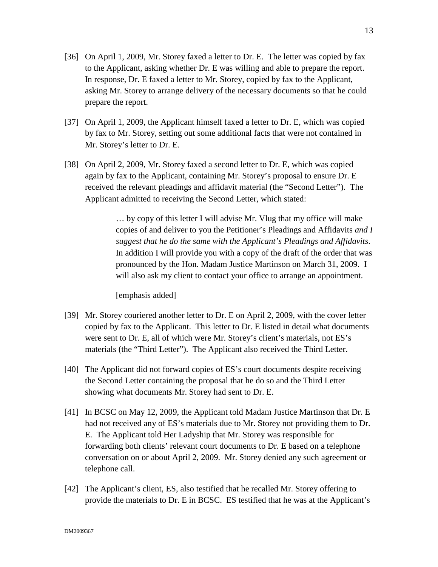- [36] On April 1, 2009, Mr. Storey faxed a letter to Dr. E. The letter was copied by fax to the Applicant, asking whether Dr. E was willing and able to prepare the report. In response, Dr. E faxed a letter to Mr. Storey, copied by fax to the Applicant, asking Mr. Storey to arrange delivery of the necessary documents so that he could prepare the report.
- [37] On April 1, 2009, the Applicant himself faxed a letter to Dr. E, which was copied by fax to Mr. Storey, setting out some additional facts that were not contained in Mr. Storey's letter to Dr. E.
- [38] On April 2, 2009, Mr. Storey faxed a second letter to Dr. E, which was copied again by fax to the Applicant, containing Mr. Storey's proposal to ensure Dr. E received the relevant pleadings and affidavit material (the "Second Letter"). The Applicant admitted to receiving the Second Letter, which stated:

… by copy of this letter I will advise Mr. Vlug that my office will make copies of and deliver to you the Petitioner's Pleadings and Affidavits *and I suggest that he do the same with the Applicant's Pleadings and Affidavits*. In addition I will provide you with a copy of the draft of the order that was pronounced by the Hon. Madam Justice Martinson on March 31, 2009. I will also ask my client to contact your office to arrange an appointment.

[emphasis added]

- [39] Mr. Storey couriered another letter to Dr. E on April 2, 2009, with the cover letter copied by fax to the Applicant. This letter to Dr. E listed in detail what documents were sent to Dr. E, all of which were Mr. Storey's client's materials, not ES's materials (the "Third Letter"). The Applicant also received the Third Letter.
- [40] The Applicant did not forward copies of ES's court documents despite receiving the Second Letter containing the proposal that he do so and the Third Letter showing what documents Mr. Storey had sent to Dr. E.
- [41] In BCSC on May 12, 2009, the Applicant told Madam Justice Martinson that Dr. E had not received any of ES's materials due to Mr. Storey not providing them to Dr. E. The Applicant told Her Ladyship that Mr. Storey was responsible for forwarding both clients' relevant court documents to Dr. E based on a telephone conversation on or about April 2, 2009. Mr. Storey denied any such agreement or telephone call.
- [42] The Applicant's client, ES, also testified that he recalled Mr. Storey offering to provide the materials to Dr. E in BCSC. ES testified that he was at the Applicant's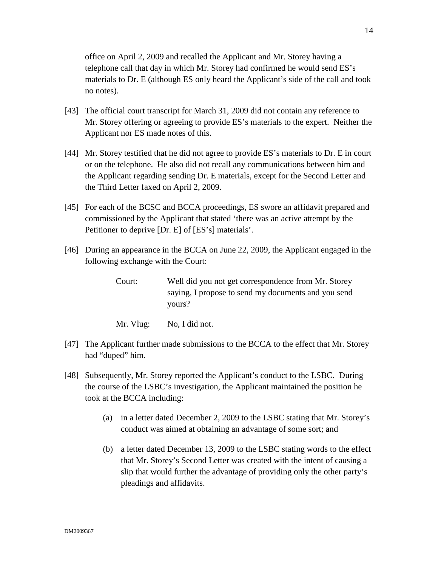office on April 2, 2009 and recalled the Applicant and Mr. Storey having a telephone call that day in which Mr. Storey had confirmed he would send ES's materials to Dr. E (although ES only heard the Applicant's side of the call and took no notes).

- [43] The official court transcript for March 31, 2009 did not contain any reference to Mr. Storey offering or agreeing to provide ES's materials to the expert. Neither the Applicant nor ES made notes of this.
- [44] Mr. Storey testified that he did not agree to provide ES's materials to Dr. E in court or on the telephone. He also did not recall any communications between him and the Applicant regarding sending Dr. E materials, except for the Second Letter and the Third Letter faxed on April 2, 2009.
- [45] For each of the BCSC and BCCA proceedings, ES swore an affidavit prepared and commissioned by the Applicant that stated 'there was an active attempt by the Petitioner to deprive [Dr. E] of [ES's] materials'.
- [46] During an appearance in the BCCA on June 22, 2009, the Applicant engaged in the following exchange with the Court:
	- Court: Well did you not get correspondence from Mr. Storey saying, I propose to send my documents and you send yours?
	- Mr. Vlug: No, I did not.
- [47] The Applicant further made submissions to the BCCA to the effect that Mr. Storey had "duped" him.
- [48] Subsequently, Mr. Storey reported the Applicant's conduct to the LSBC. During the course of the LSBC's investigation, the Applicant maintained the position he took at the BCCA including:
	- (a) in a letter dated December 2, 2009 to the LSBC stating that Mr. Storey's conduct was aimed at obtaining an advantage of some sort; and
	- (b) a letter dated December 13, 2009 to the LSBC stating words to the effect that Mr. Storey's Second Letter was created with the intent of causing a slip that would further the advantage of providing only the other party's pleadings and affidavits.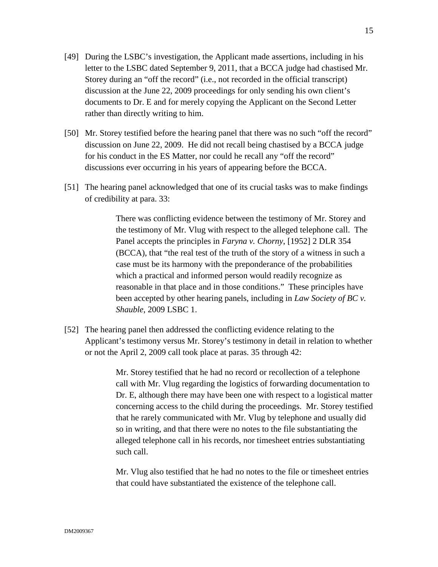- [49] During the LSBC's investigation, the Applicant made assertions, including in his letter to the LSBC dated September 9, 2011, that a BCCA judge had chastised Mr. Storey during an "off the record" (i.e., not recorded in the official transcript) discussion at the June 22, 2009 proceedings for only sending his own client's documents to Dr. E and for merely copying the Applicant on the Second Letter rather than directly writing to him.
- [50] Mr. Storey testified before the hearing panel that there was no such "off the record" discussion on June 22, 2009. He did not recall being chastised by a BCCA judge for his conduct in the ES Matter, nor could he recall any "off the record" discussions ever occurring in his years of appearing before the BCCA.
- [51] The hearing panel acknowledged that one of its crucial tasks was to make findings of credibility at para. 33:

There was conflicting evidence between the testimony of Mr. Storey and the testimony of Mr. Vlug with respect to the alleged telephone call. The Panel accepts the principles in *Faryna v. Chorny*, [1952] 2 DLR 354 (BCCA), that "the real test of the truth of the story of a witness in such a case must be its harmony with the preponderance of the probabilities which a practical and informed person would readily recognize as reasonable in that place and in those conditions." These principles have been accepted by other hearing panels, including in *Law Society of BC v. Shauble*, 2009 LSBC 1.

[52] The hearing panel then addressed the conflicting evidence relating to the Applicant's testimony versus Mr. Storey's testimony in detail in relation to whether or not the April 2, 2009 call took place at paras. 35 through 42:

> Mr. Storey testified that he had no record or recollection of a telephone call with Mr. Vlug regarding the logistics of forwarding documentation to Dr. E, although there may have been one with respect to a logistical matter concerning access to the child during the proceedings. Mr. Storey testified that he rarely communicated with Mr. Vlug by telephone and usually did so in writing, and that there were no notes to the file substantiating the alleged telephone call in his records, nor timesheet entries substantiating such call.

Mr. Vlug also testified that he had no notes to the file or timesheet entries that could have substantiated the existence of the telephone call.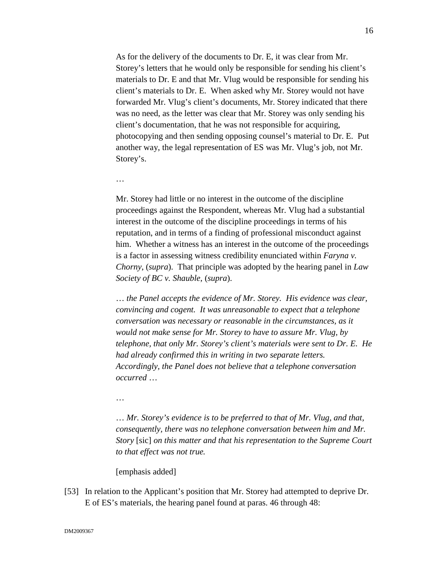As for the delivery of the documents to Dr. E, it was clear from Mr. Storey's letters that he would only be responsible for sending his client's materials to Dr. E and that Mr. Vlug would be responsible for sending his client's materials to Dr. E. When asked why Mr. Storey would not have forwarded Mr. Vlug's client's documents, Mr. Storey indicated that there was no need, as the letter was clear that Mr. Storey was only sending his client's documentation, that he was not responsible for acquiring, photocopying and then sending opposing counsel's material to Dr. E. Put another way, the legal representation of ES was Mr. Vlug's job, not Mr. Storey's.

…

Mr. Storey had little or no interest in the outcome of the discipline proceedings against the Respondent, whereas Mr. Vlug had a substantial interest in the outcome of the discipline proceedings in terms of his reputation, and in terms of a finding of professional misconduct against him. Whether a witness has an interest in the outcome of the proceedings is a factor in assessing witness credibility enunciated within *Faryna v. Chorny*, (*supra*). That principle was adopted by the hearing panel in *Law Society of BC v. Shauble*, (*supra*).

… *the Panel accepts the evidence of Mr. Storey. His evidence was clear, convincing and cogent. It was unreasonable to expect that a telephone conversation was necessary or reasonable in the circumstances, as it would not make sense for Mr. Storey to have to assure Mr. Vlug, by telephone, that only Mr. Storey's client's materials were sent to Dr. E. He had already confirmed this in writing in two separate letters. Accordingly, the Panel does not believe that a telephone conversation occurred* …

…

… *Mr. Storey's evidence is to be preferred to that of Mr. Vlug, and that, consequently, there was no telephone conversation between him and Mr. Story* [sic] *on this matter and that his representation to the Supreme Court to that effect was not true.*

[emphasis added]

[53] In relation to the Applicant's position that Mr. Storey had attempted to deprive Dr. E of ES's materials, the hearing panel found at paras. 46 through 48: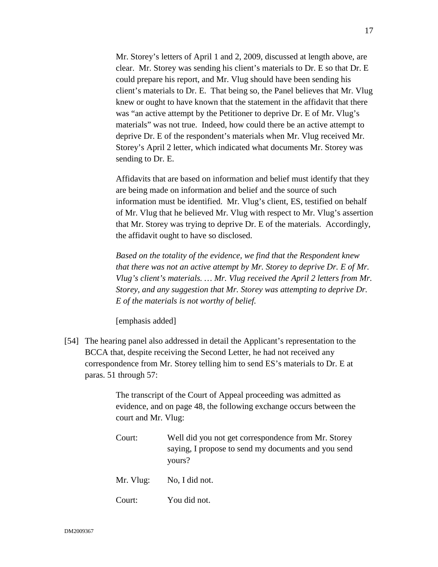Mr. Storey's letters of April 1 and 2, 2009, discussed at length above, are clear. Mr. Storey was sending his client's materials to Dr. E so that Dr. E could prepare his report, and Mr. Vlug should have been sending his client's materials to Dr. E. That being so, the Panel believes that Mr. Vlug knew or ought to have known that the statement in the affidavit that there was "an active attempt by the Petitioner to deprive Dr. E of Mr. Vlug's materials" was not true. Indeed, how could there be an active attempt to deprive Dr. E of the respondent's materials when Mr. Vlug received Mr. Storey's April 2 letter, which indicated what documents Mr. Storey was sending to Dr. E.

Affidavits that are based on information and belief must identify that they are being made on information and belief and the source of such information must be identified. Mr. Vlug's client, ES, testified on behalf of Mr. Vlug that he believed Mr. Vlug with respect to Mr. Vlug's assertion that Mr. Storey was trying to deprive Dr. E of the materials. Accordingly, the affidavit ought to have so disclosed.

*Based on the totality of the evidence, we find that the Respondent knew that there was not an active attempt by Mr. Storey to deprive Dr. E of Mr. Vlug's client's materials. … Mr. Vlug received the April 2 letters from Mr. Storey, and any suggestion that Mr. Storey was attempting to deprive Dr. E of the materials is not worthy of belief.*

[emphasis added]

[54] The hearing panel also addressed in detail the Applicant's representation to the BCCA that, despite receiving the Second Letter, he had not received any correspondence from Mr. Storey telling him to send ES's materials to Dr. E at paras. 51 through 57:

> The transcript of the Court of Appeal proceeding was admitted as evidence, and on page 48, the following exchange occurs between the court and Mr. Vlug:

> Court: Well did you not get correspondence from Mr. Storey saying, I propose to send my documents and you send yours? Mr. Vlug: No, I did not. Court: You did not.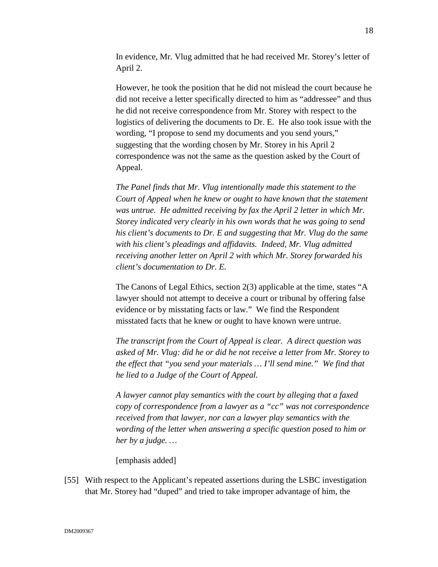In evidence, Mr. Vlug admitted that he had received Mr. Storey's letter of April 2.

However, he took the position that he did not mislead the court because he did not receive a letter specifically directed to him as "addressee" and thus he did not receive correspondence from Mr. Storey with respect to the logistics of delivering the documents to Dr. E. He also took issue with the wording, "I propose to send my documents and you send yours," suggesting that the wording chosen by Mr. Storey in his April 2 correspondence was not the same as the question asked by the Court of Appeal.

*The Panel finds that Mr. Vlug intentionally made this statement to the Court of Appeal when he knew or ought to have known that the statement was untrue. He admitted receiving by fax the April 2 letter in which Mr. Storey indicated very clearly in his own words that he was going to send his client's documents to Dr. E and suggesting that Mr. Vlug do the same with his client's pleadings and affidavits. Indeed, Mr. Vlug admitted receiving another letter on April 2 with which Mr. Storey forwarded his client's documentation to Dr. E.* 

The Canons of Legal Ethics, section 2(3) applicable at the time, states "A lawyer should not attempt to deceive a court or tribunal by offering false evidence or by misstating facts or law." We find the Respondent misstated facts that he knew or ought to have known were untrue.

*The transcript from the Court of Appeal is clear. A direct question was asked of Mr. Vlug: did he or did he not receive a letter from Mr. Storey to the effect that "you send your materials … I'll send mine." We find that he lied to a Judge of the Court of Appeal.*

*A lawyer cannot play semantics with the court by alleging that a faxed copy of correspondence from a lawyer as a "cc" was not correspondence received from that lawyer, nor can a lawyer play semantics with the wording of the letter when answering a specific question posed to him or her by a judge. …*

[emphasis added]

[55] With respect to the Applicant's repeated assertions during the LSBC investigation that Mr. Storey had "duped" and tried to take improper advantage of him, the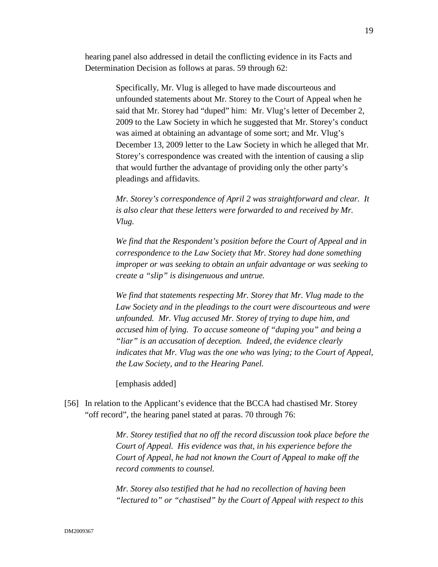hearing panel also addressed in detail the conflicting evidence in its Facts and Determination Decision as follows at paras. 59 through 62:

> Specifically, Mr. Vlug is alleged to have made discourteous and unfounded statements about Mr. Storey to the Court of Appeal when he said that Mr. Storey had "duped" him: Mr. Vlug's letter of December 2, 2009 to the Law Society in which he suggested that Mr. Storey's conduct was aimed at obtaining an advantage of some sort; and Mr. Vlug's December 13, 2009 letter to the Law Society in which he alleged that Mr. Storey's correspondence was created with the intention of causing a slip that would further the advantage of providing only the other party's pleadings and affidavits.

> *Mr. Storey's correspondence of April 2 was straightforward and clear. It is also clear that these letters were forwarded to and received by Mr. Vlug.*

> *We find that the Respondent's position before the Court of Appeal and in correspondence to the Law Society that Mr. Storey had done something improper or was seeking to obtain an unfair advantage or was seeking to create a "slip" is disingenuous and untrue.*

*We find that statements respecting Mr. Storey that Mr. Vlug made to the Law Society and in the pleadings to the court were discourteous and were unfounded. Mr. Vlug accused Mr. Storey of trying to dupe him, and accused him of lying. To accuse someone of "duping you" and being a "liar" is an accusation of deception. Indeed, the evidence clearly indicates that Mr. Vlug was the one who was lying; to the Court of Appeal, the Law Society, and to the Hearing Panel.*

[emphasis added]

[56] In relation to the Applicant's evidence that the BCCA had chastised Mr. Storey "off record", the hearing panel stated at paras. 70 through 76:

> *Mr. Storey testified that no off the record discussion took place before the Court of Appeal. His evidence was that, in his experience before the Court of Appeal, he had not known the Court of Appeal to make off the record comments to counsel.*

*Mr. Storey also testified that he had no recollection of having been "lectured to" or "chastised" by the Court of Appeal with respect to this*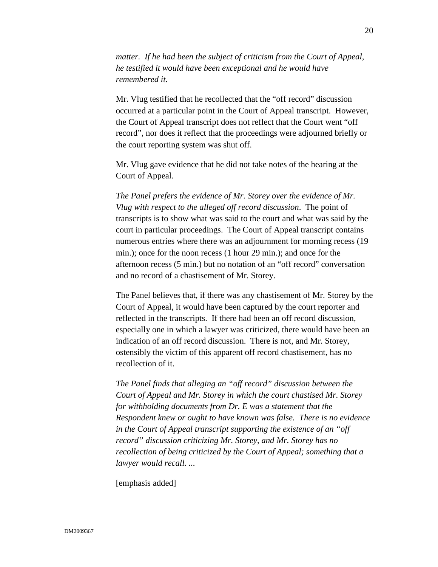*matter. If he had been the subject of criticism from the Court of Appeal, he testified it would have been exceptional and he would have remembered it.*

Mr. Vlug testified that he recollected that the "off record" discussion occurred at a particular point in the Court of Appeal transcript. However, the Court of Appeal transcript does not reflect that the Court went "off record", nor does it reflect that the proceedings were adjourned briefly or the court reporting system was shut off.

Mr. Vlug gave evidence that he did not take notes of the hearing at the Court of Appeal.

*The Panel prefers the evidence of Mr. Storey over the evidence of Mr. Vlug with respect to the alleged off record discussion*. The point of transcripts is to show what was said to the court and what was said by the court in particular proceedings. The Court of Appeal transcript contains numerous entries where there was an adjournment for morning recess (19 min.); once for the noon recess (1 hour 29 min.); and once for the afternoon recess (5 min.) but no notation of an "off record" conversation and no record of a chastisement of Mr. Storey.

The Panel believes that, if there was any chastisement of Mr. Storey by the Court of Appeal, it would have been captured by the court reporter and reflected in the transcripts. If there had been an off record discussion, especially one in which a lawyer was criticized, there would have been an indication of an off record discussion. There is not, and Mr. Storey, ostensibly the victim of this apparent off record chastisement, has no recollection of it.

*The Panel finds that alleging an "off record" discussion between the Court of Appeal and Mr. Storey in which the court chastised Mr. Storey for withholding documents from Dr. E was a statement that the Respondent knew or ought to have known was false. There is no evidence in the Court of Appeal transcript supporting the existence of an "off record" discussion criticizing Mr. Storey, and Mr. Storey has no recollection of being criticized by the Court of Appeal; something that a lawyer would recall. ...* 

[emphasis added]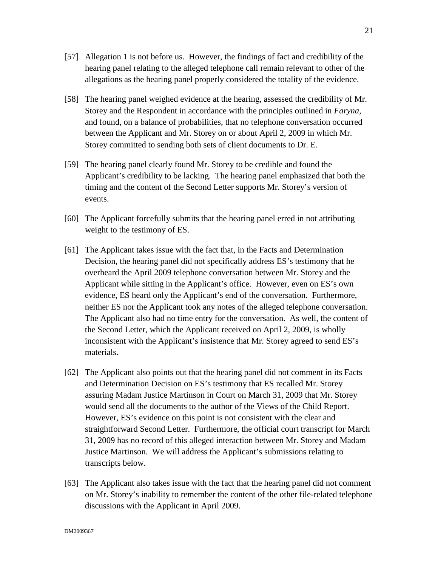- [57] Allegation 1 is not before us. However, the findings of fact and credibility of the hearing panel relating to the alleged telephone call remain relevant to other of the allegations as the hearing panel properly considered the totality of the evidence.
- [58] The hearing panel weighed evidence at the hearing, assessed the credibility of Mr. Storey and the Respondent in accordance with the principles outlined in *Faryna*, and found, on a balance of probabilities, that no telephone conversation occurred between the Applicant and Mr. Storey on or about April 2, 2009 in which Mr. Storey committed to sending both sets of client documents to Dr. E.
- [59] The hearing panel clearly found Mr. Storey to be credible and found the Applicant's credibility to be lacking. The hearing panel emphasized that both the timing and the content of the Second Letter supports Mr. Storey's version of events.
- [60] The Applicant forcefully submits that the hearing panel erred in not attributing weight to the testimony of ES.
- [61] The Applicant takes issue with the fact that, in the Facts and Determination Decision, the hearing panel did not specifically address ES's testimony that he overheard the April 2009 telephone conversation between Mr. Storey and the Applicant while sitting in the Applicant's office. However, even on ES's own evidence, ES heard only the Applicant's end of the conversation. Furthermore, neither ES nor the Applicant took any notes of the alleged telephone conversation. The Applicant also had no time entry for the conversation. As well, the content of the Second Letter, which the Applicant received on April 2, 2009, is wholly inconsistent with the Applicant's insistence that Mr. Storey agreed to send ES's materials.
- [62] The Applicant also points out that the hearing panel did not comment in its Facts and Determination Decision on ES's testimony that ES recalled Mr. Storey assuring Madam Justice Martinson in Court on March 31, 2009 that Mr. Storey would send all the documents to the author of the Views of the Child Report. However, ES's evidence on this point is not consistent with the clear and straightforward Second Letter. Furthermore, the official court transcript for March 31, 2009 has no record of this alleged interaction between Mr. Storey and Madam Justice Martinson. We will address the Applicant's submissions relating to transcripts below.
- [63] The Applicant also takes issue with the fact that the hearing panel did not comment on Mr. Storey's inability to remember the content of the other file-related telephone discussions with the Applicant in April 2009.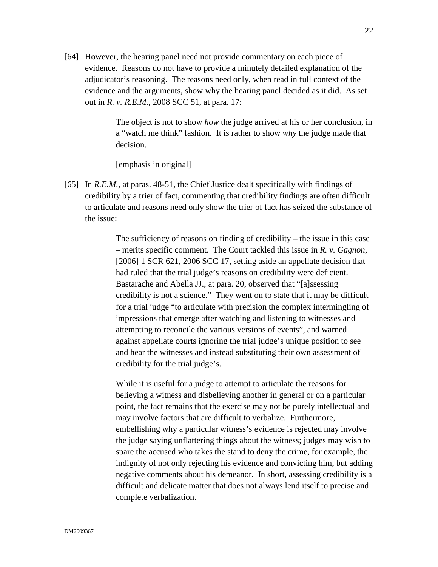[64] However, the hearing panel need not provide commentary on each piece of evidence. Reasons do not have to provide a minutely detailed explanation of the adjudicator's reasoning. The reasons need only, when read in full context of the evidence and the arguments, show why the hearing panel decided as it did. As set out in *R. v. R.E.M.*, 2008 SCC 51, at para. 17:

> The object is not to show *how* the judge arrived at his or her conclusion, in a "watch me think" fashion. It is rather to show *why* the judge made that decision.

[emphasis in original]

[65] In *R.E.M.*, at paras. 48-51, the Chief Justice dealt specifically with findings of credibility by a trier of fact, commenting that credibility findings are often difficult to articulate and reasons need only show the trier of fact has seized the substance of the issue:

> The sufficiency of reasons on finding of credibility – the issue in this case – merits specific comment. The Court tackled this issue in *R. v. Gagnon*, [2006] 1 SCR 621, 2006 SCC 17, setting aside an appellate decision that had ruled that the trial judge's reasons on credibility were deficient. Bastarache and Abella JJ., at para. 20, observed that "[a]ssessing credibility is not a science." They went on to state that it may be difficult for a trial judge "to articulate with precision the complex intermingling of impressions that emerge after watching and listening to witnesses and attempting to reconcile the various versions of events", and warned against appellate courts ignoring the trial judge's unique position to see and hear the witnesses and instead substituting their own assessment of credibility for the trial judge's.

While it is useful for a judge to attempt to articulate the reasons for believing a witness and disbelieving another in general or on a particular point, the fact remains that the exercise may not be purely intellectual and may involve factors that are difficult to verbalize. Furthermore, embellishing why a particular witness's evidence is rejected may involve the judge saying unflattering things about the witness; judges may wish to spare the accused who takes the stand to deny the crime, for example, the indignity of not only rejecting his evidence and convicting him, but adding negative comments about his demeanor. In short, assessing credibility is a difficult and delicate matter that does not always lend itself to precise and complete verbalization.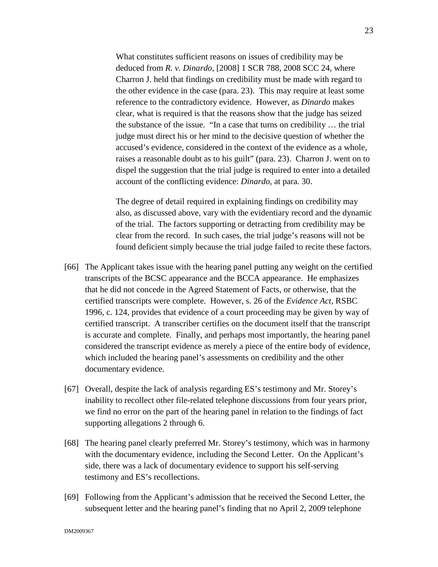What constitutes sufficient reasons on issues of credibility may be deduced from *R. v. Dinardo*, [2008] 1 SCR 788, 2008 SCC 24, where Charron J. held that findings on credibility must be made with regard to the other evidence in the case (para. 23). This may require at least some reference to the contradictory evidence. However, as *Dinardo* makes clear, what is required is that the reasons show that the judge has seized the substance of the issue. "In a case that turns on credibility … the trial judge must direct his or her mind to the decisive question of whether the accused's evidence, considered in the context of the evidence as a whole, raises a reasonable doubt as to his guilt" (para. 23). Charron J. went on to dispel the suggestion that the trial judge is required to enter into a detailed account of the conflicting evidence: *Dinardo*, at para. 30.

The degree of detail required in explaining findings on credibility may also, as discussed above, vary with the evidentiary record and the dynamic of the trial. The factors supporting or detracting from credibility may be clear from the record. In such cases, the trial judge's reasons will not be found deficient simply because the trial judge failed to recite these factors.

- [66] The Applicant takes issue with the hearing panel putting any weight on the certified transcripts of the BCSC appearance and the BCCA appearance. He emphasizes that he did not concede in the Agreed Statement of Facts, or otherwise, that the certified transcripts were complete. However, s. 26 of the *Evidence Act,* RSBC 1996, c. 124*,* provides that evidence of a court proceeding may be given by way of certified transcript. A transcriber certifies on the document itself that the transcript is accurate and complete. Finally, and perhaps most importantly, the hearing panel considered the transcript evidence as merely a piece of the entire body of evidence, which included the hearing panel's assessments on credibility and the other documentary evidence.
- [67] Overall, despite the lack of analysis regarding ES's testimony and Mr. Storey's inability to recollect other file-related telephone discussions from four years prior, we find no error on the part of the hearing panel in relation to the findings of fact supporting allegations 2 through 6.
- [68] The hearing panel clearly preferred Mr. Storey's testimony, which was in harmony with the documentary evidence, including the Second Letter. On the Applicant's side, there was a lack of documentary evidence to support his self-serving testimony and ES's recollections.
- [69] Following from the Applicant's admission that he received the Second Letter, the subsequent letter and the hearing panel's finding that no April 2, 2009 telephone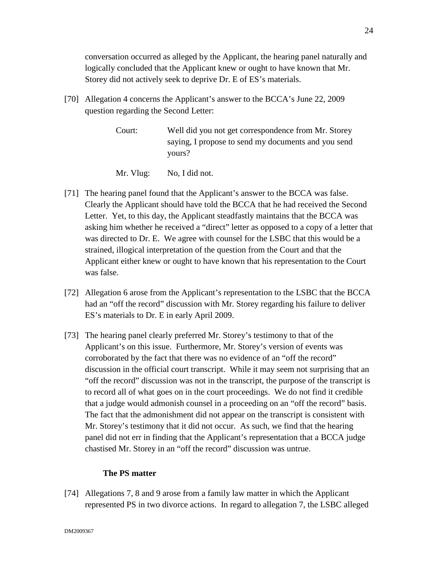conversation occurred as alleged by the Applicant, the hearing panel naturally and logically concluded that the Applicant knew or ought to have known that Mr. Storey did not actively seek to deprive Dr. E of ES's materials.

- [70] Allegation 4 concerns the Applicant's answer to the BCCA's June 22, 2009 question regarding the Second Letter:
	- Court: Well did you not get correspondence from Mr. Storey saying, I propose to send my documents and you send yours?
	- Mr. Vlug: No, I did not.
- [71] The hearing panel found that the Applicant's answer to the BCCA was false. Clearly the Applicant should have told the BCCA that he had received the Second Letter. Yet, to this day, the Applicant steadfastly maintains that the BCCA was asking him whether he received a "direct" letter as opposed to a copy of a letter that was directed to Dr. E. We agree with counsel for the LSBC that this would be a strained, illogical interpretation of the question from the Court and that the Applicant either knew or ought to have known that his representation to the Court was false.
- [72] Allegation 6 arose from the Applicant's representation to the LSBC that the BCCA had an "off the record" discussion with Mr. Storey regarding his failure to deliver ES's materials to Dr. E in early April 2009.
- [73] The hearing panel clearly preferred Mr. Storey's testimony to that of the Applicant's on this issue. Furthermore, Mr. Storey's version of events was corroborated by the fact that there was no evidence of an "off the record" discussion in the official court transcript. While it may seem not surprising that an "off the record" discussion was not in the transcript, the purpose of the transcript is to record all of what goes on in the court proceedings. We do not find it credible that a judge would admonish counsel in a proceeding on an "off the record" basis. The fact that the admonishment did not appear on the transcript is consistent with Mr. Storey's testimony that it did not occur. As such, we find that the hearing panel did not err in finding that the Applicant's representation that a BCCA judge chastised Mr. Storey in an "off the record" discussion was untrue.

## **The PS matter**

[74] Allegations 7, 8 and 9 arose from a family law matter in which the Applicant represented PS in two divorce actions. In regard to allegation 7, the LSBC alleged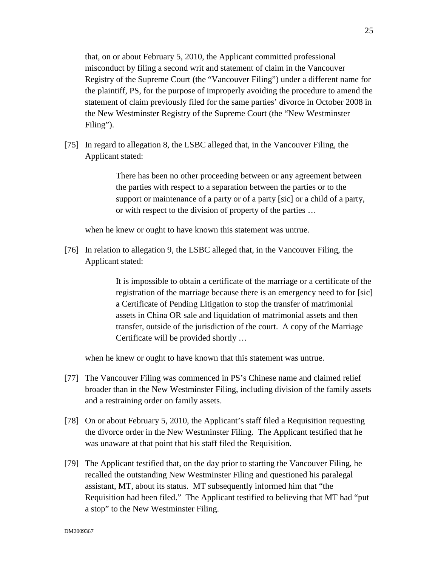that, on or about February 5, 2010, the Applicant committed professional misconduct by filing a second writ and statement of claim in the Vancouver Registry of the Supreme Court (the "Vancouver Filing") under a different name for the plaintiff, PS, for the purpose of improperly avoiding the procedure to amend the statement of claim previously filed for the same parties' divorce in October 2008 in the New Westminster Registry of the Supreme Court (the "New Westminster Filing").

[75] In regard to allegation 8, the LSBC alleged that, in the Vancouver Filing, the Applicant stated:

> There has been no other proceeding between or any agreement between the parties with respect to a separation between the parties or to the support or maintenance of a party or of a party [sic] or a child of a party, or with respect to the division of property of the parties …

when he knew or ought to have known this statement was untrue.

[76] In relation to allegation 9, the LSBC alleged that, in the Vancouver Filing, the Applicant stated:

> It is impossible to obtain a certificate of the marriage or a certificate of the registration of the marriage because there is an emergency need to for [sic] a Certificate of Pending Litigation to stop the transfer of matrimonial assets in China OR sale and liquidation of matrimonial assets and then transfer, outside of the jurisdiction of the court. A copy of the Marriage Certificate will be provided shortly …

when he knew or ought to have known that this statement was untrue.

- [77] The Vancouver Filing was commenced in PS's Chinese name and claimed relief broader than in the New Westminster Filing, including division of the family assets and a restraining order on family assets.
- [78] On or about February 5, 2010, the Applicant's staff filed a Requisition requesting the divorce order in the New Westminster Filing. The Applicant testified that he was unaware at that point that his staff filed the Requisition.
- [79] The Applicant testified that, on the day prior to starting the Vancouver Filing, he recalled the outstanding New Westminster Filing and questioned his paralegal assistant, MT, about its status. MT subsequently informed him that "the Requisition had been filed." The Applicant testified to believing that MT had "put a stop" to the New Westminster Filing.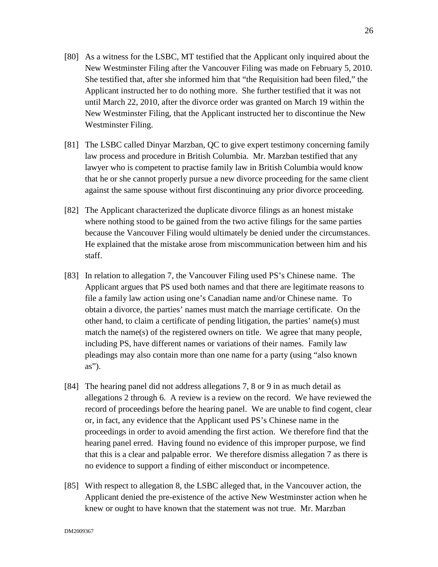- [80] As a witness for the LSBC, MT testified that the Applicant only inquired about the New Westminster Filing after the Vancouver Filing was made on February 5, 2010. She testified that, after she informed him that "the Requisition had been filed," the Applicant instructed her to do nothing more. She further testified that it was not until March 22, 2010, after the divorce order was granted on March 19 within the New Westminster Filing, that the Applicant instructed her to discontinue the New Westminster Filing.
- [81] The LSBC called Dinyar Marzban, QC to give expert testimony concerning family law process and procedure in British Columbia. Mr. Marzban testified that any lawyer who is competent to practise family law in British Columbia would know that he or she cannot properly pursue a new divorce proceeding for the same client against the same spouse without first discontinuing any prior divorce proceeding.
- [82] The Applicant characterized the duplicate divorce filings as an honest mistake where nothing stood to be gained from the two active filings for the same parties because the Vancouver Filing would ultimately be denied under the circumstances. He explained that the mistake arose from miscommunication between him and his staff.
- [83] In relation to allegation 7, the Vancouver Filing used PS's Chinese name. The Applicant argues that PS used both names and that there are legitimate reasons to file a family law action using one's Canadian name and/or Chinese name. To obtain a divorce, the parties' names must match the marriage certificate. On the other hand, to claim a certificate of pending litigation, the parties' name(s) must match the name(s) of the registered owners on title. We agree that many people, including PS, have different names or variations of their names. Family law pleadings may also contain more than one name for a party (using "also known as").
- [84] The hearing panel did not address allegations 7, 8 or 9 in as much detail as allegations 2 through 6. A review is a review on the record. We have reviewed the record of proceedings before the hearing panel. We are unable to find cogent, clear or, in fact, any evidence that the Applicant used PS's Chinese name in the proceedings in order to avoid amending the first action. We therefore find that the hearing panel erred. Having found no evidence of this improper purpose, we find that this is a clear and palpable error. We therefore dismiss allegation 7 as there is no evidence to support a finding of either misconduct or incompetence.
- [85] With respect to allegation 8, the LSBC alleged that, in the Vancouver action, the Applicant denied the pre-existence of the active New Westminster action when he knew or ought to have known that the statement was not true. Mr. Marzban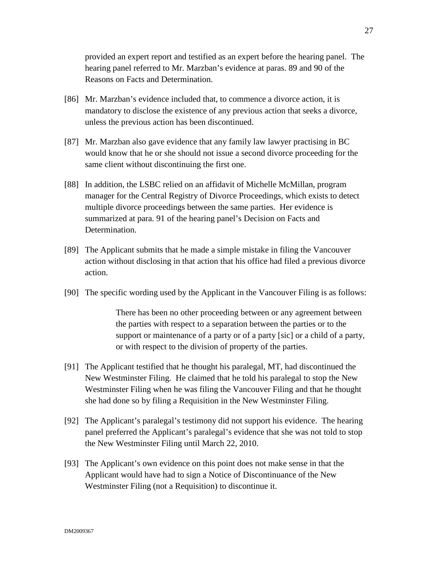provided an expert report and testified as an expert before the hearing panel. The hearing panel referred to Mr. Marzban's evidence at paras. 89 and 90 of the Reasons on Facts and Determination.

- [86] Mr. Marzban's evidence included that, to commence a divorce action, it is mandatory to disclose the existence of any previous action that seeks a divorce, unless the previous action has been discontinued.
- [87] Mr. Marzban also gave evidence that any family law lawyer practising in BC would know that he or she should not issue a second divorce proceeding for the same client without discontinuing the first one.
- [88] In addition, the LSBC relied on an affidavit of Michelle McMillan, program manager for the Central Registry of Divorce Proceedings, which exists to detect multiple divorce proceedings between the same parties. Her evidence is summarized at para. 91 of the hearing panel's Decision on Facts and Determination.
- [89] The Applicant submits that he made a simple mistake in filing the Vancouver action without disclosing in that action that his office had filed a previous divorce action.
- [90] The specific wording used by the Applicant in the Vancouver Filing is as follows:

There has been no other proceeding between or any agreement between the parties with respect to a separation between the parties or to the support or maintenance of a party or of a party [sic] or a child of a party, or with respect to the division of property of the parties.

- [91] The Applicant testified that he thought his paralegal, MT, had discontinued the New Westminster Filing. He claimed that he told his paralegal to stop the New Westminster Filing when he was filing the Vancouver Filing and that he thought she had done so by filing a Requisition in the New Westminster Filing.
- [92] The Applicant's paralegal's testimony did not support his evidence. The hearing panel preferred the Applicant's paralegal's evidence that she was not told to stop the New Westminster Filing until March 22, 2010.
- [93] The Applicant's own evidence on this point does not make sense in that the Applicant would have had to sign a Notice of Discontinuance of the New Westminster Filing (not a Requisition) to discontinue it.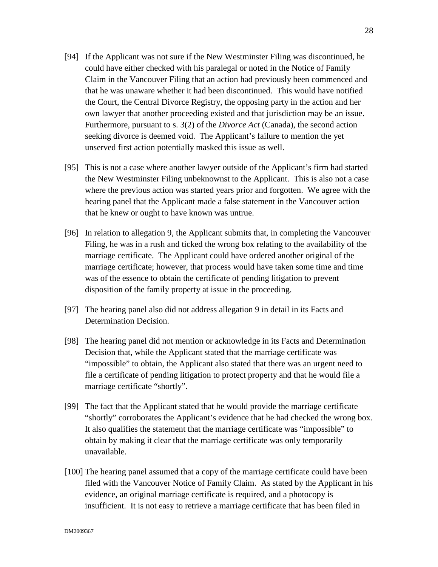- [94] If the Applicant was not sure if the New Westminster Filing was discontinued, he could have either checked with his paralegal or noted in the Notice of Family Claim in the Vancouver Filing that an action had previously been commenced and that he was unaware whether it had been discontinued. This would have notified the Court, the Central Divorce Registry, the opposing party in the action and her own lawyer that another proceeding existed and that jurisdiction may be an issue. Furthermore, pursuant to s. 3(2) of the *Divorce Act* (Canada), the second action seeking divorce is deemed void. The Applicant's failure to mention the yet unserved first action potentially masked this issue as well.
- [95] This is not a case where another lawyer outside of the Applicant's firm had started the New Westminster Filing unbeknownst to the Applicant. This is also not a case where the previous action was started years prior and forgotten. We agree with the hearing panel that the Applicant made a false statement in the Vancouver action that he knew or ought to have known was untrue.
- [96] In relation to allegation 9, the Applicant submits that, in completing the Vancouver Filing, he was in a rush and ticked the wrong box relating to the availability of the marriage certificate. The Applicant could have ordered another original of the marriage certificate; however, that process would have taken some time and time was of the essence to obtain the certificate of pending litigation to prevent disposition of the family property at issue in the proceeding.
- [97] The hearing panel also did not address allegation 9 in detail in its Facts and Determination Decision.
- [98] The hearing panel did not mention or acknowledge in its Facts and Determination Decision that, while the Applicant stated that the marriage certificate was "impossible" to obtain, the Applicant also stated that there was an urgent need to file a certificate of pending litigation to protect property and that he would file a marriage certificate "shortly".
- [99] The fact that the Applicant stated that he would provide the marriage certificate "shortly" corroborates the Applicant's evidence that he had checked the wrong box. It also qualifies the statement that the marriage certificate was "impossible" to obtain by making it clear that the marriage certificate was only temporarily unavailable.
- [100] The hearing panel assumed that a copy of the marriage certificate could have been filed with the Vancouver Notice of Family Claim. As stated by the Applicant in his evidence, an original marriage certificate is required, and a photocopy is insufficient. It is not easy to retrieve a marriage certificate that has been filed in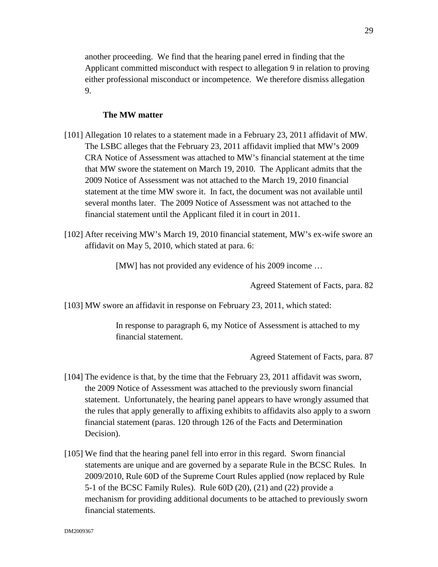another proceeding. We find that the hearing panel erred in finding that the Applicant committed misconduct with respect to allegation 9 in relation to proving either professional misconduct or incompetence. We therefore dismiss allegation 9.

### **The MW matter**

- [101] Allegation 10 relates to a statement made in a February 23, 2011 affidavit of MW. The LSBC alleges that the February 23, 2011 affidavit implied that MW's 2009 CRA Notice of Assessment was attached to MW's financial statement at the time that MW swore the statement on March 19, 2010. The Applicant admits that the 2009 Notice of Assessment was not attached to the March 19, 2010 financial statement at the time MW swore it. In fact, the document was not available until several months later. The 2009 Notice of Assessment was not attached to the financial statement until the Applicant filed it in court in 2011.
- [102] After receiving MW's March 19, 2010 financial statement, MW's ex-wife swore an affidavit on May 5, 2010, which stated at para. 6:

[MW] has not provided any evidence of his 2009 income …

Agreed Statement of Facts, para. 82

[103] MW swore an affidavit in response on February 23, 2011, which stated:

In response to paragraph 6, my Notice of Assessment is attached to my financial statement.

Agreed Statement of Facts, para. 87

- [104] The evidence is that, by the time that the February 23, 2011 affidavit was sworn, the 2009 Notice of Assessment was attached to the previously sworn financial statement. Unfortunately, the hearing panel appears to have wrongly assumed that the rules that apply generally to affixing exhibits to affidavits also apply to a sworn financial statement (paras. 120 through 126 of the Facts and Determination Decision).
- [105] We find that the hearing panel fell into error in this regard. Sworn financial statements are unique and are governed by a separate Rule in the BCSC Rules. In 2009/2010, Rule 60D of the Supreme Court Rules applied (now replaced by Rule 5-1 of the BCSC Family Rules). Rule 60D (20), (21) and (22) provide a mechanism for providing additional documents to be attached to previously sworn financial statements.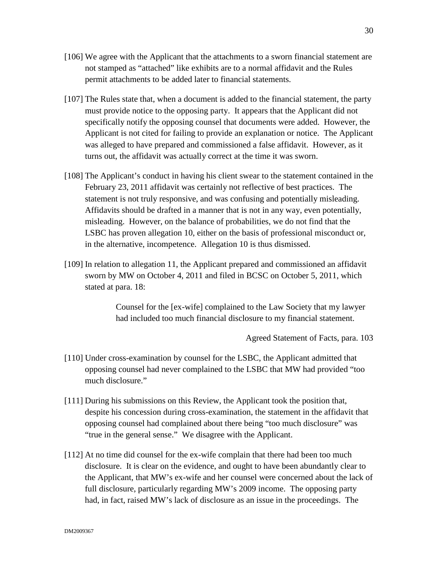- [106] We agree with the Applicant that the attachments to a sworn financial statement are not stamped as "attached" like exhibits are to a normal affidavit and the Rules permit attachments to be added later to financial statements.
- [107] The Rules state that, when a document is added to the financial statement, the party must provide notice to the opposing party. It appears that the Applicant did not specifically notify the opposing counsel that documents were added. However, the Applicant is not cited for failing to provide an explanation or notice. The Applicant was alleged to have prepared and commissioned a false affidavit. However, as it turns out, the affidavit was actually correct at the time it was sworn.
- [108] The Applicant's conduct in having his client swear to the statement contained in the February 23, 2011 affidavit was certainly not reflective of best practices. The statement is not truly responsive, and was confusing and potentially misleading. Affidavits should be drafted in a manner that is not in any way, even potentially, misleading. However, on the balance of probabilities, we do not find that the LSBC has proven allegation 10, either on the basis of professional misconduct or, in the alternative, incompetence. Allegation 10 is thus dismissed.
- [109] In relation to allegation 11, the Applicant prepared and commissioned an affidavit sworn by MW on October 4, 2011 and filed in BCSC on October 5, 2011, which stated at para. 18:

Counsel for the [ex-wife] complained to the Law Society that my lawyer had included too much financial disclosure to my financial statement.

Agreed Statement of Facts, para. 103

- [110] Under cross-examination by counsel for the LSBC, the Applicant admitted that opposing counsel had never complained to the LSBC that MW had provided "too much disclosure."
- [111] During his submissions on this Review, the Applicant took the position that, despite his concession during cross-examination, the statement in the affidavit that opposing counsel had complained about there being "too much disclosure" was "true in the general sense." We disagree with the Applicant.
- [112] At no time did counsel for the ex-wife complain that there had been too much disclosure. It is clear on the evidence, and ought to have been abundantly clear to the Applicant, that MW's ex-wife and her counsel were concerned about the lack of full disclosure, particularly regarding MW's 2009 income. The opposing party had, in fact, raised MW's lack of disclosure as an issue in the proceedings. The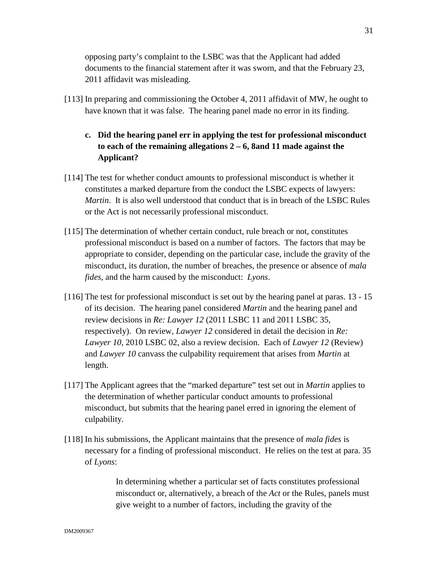opposing party's complaint to the LSBC was that the Applicant had added documents to the financial statement after it was sworn, and that the February 23, 2011 affidavit was misleading.

[113] In preparing and commissioning the October 4, 2011 affidavit of MW, he ought to have known that it was false. The hearing panel made no error in its finding.

# **c. Did the hearing panel err in applying the test for professional misconduct to each of the remaining allegations 2 – 6, 8and 11 made against the Applicant?**

- [114] The test for whether conduct amounts to professional misconduct is whether it constitutes a marked departure from the conduct the LSBC expects of lawyers: *Martin*. It is also well understood that conduct that is in breach of the LSBC Rules or the Act is not necessarily professional misconduct.
- [115] The determination of whether certain conduct, rule breach or not, constitutes professional misconduct is based on a number of factors. The factors that may be appropriate to consider, depending on the particular case, include the gravity of the misconduct, its duration, the number of breaches, the presence or absence of *mala fides*, and the harm caused by the misconduct: *Lyons*.
- [116] The test for professional misconduct is set out by the hearing panel at paras. 13 15 of its decision. The hearing panel considered *Martin* and the hearing panel and review decisions in *Re: Lawyer 12* (2011 LSBC 11 and 2011 LSBC 35, respectively). On review, *Lawyer 12* considered in detail the decision in *Re: Lawyer 10*, 2010 LSBC 02, also a review decision. Each of *Lawyer 12* (Review) and *Lawyer 10* canvass the culpability requirement that arises from *Martin* at length.
- [117] The Applicant agrees that the "marked departure" test set out in *Martin* applies to the determination of whether particular conduct amounts to professional misconduct, but submits that the hearing panel erred in ignoring the element of culpability.
- [118] In his submissions, the Applicant maintains that the presence of *mala fides* is necessary for a finding of professional misconduct. He relies on the test at para. 35 of *Lyons*:

In determining whether a particular set of facts constitutes professional misconduct or, alternatively, a breach of the *Act* or the Rules, panels must give weight to a number of factors, including the gravity of the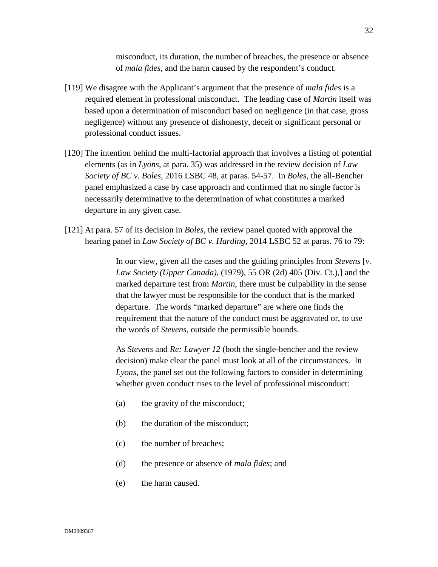misconduct, its duration, the number of breaches, the presence or absence of *mala fides*, and the harm caused by the respondent's conduct.

- [119] We disagree with the Applicant's argument that the presence of *mala fides* is a required element in professional misconduct. The leading case of *Martin* itself was based upon a determination of misconduct based on negligence (in that case, gross negligence) without any presence of dishonesty, deceit or significant personal or professional conduct issues.
- [120] The intention behind the multi-factorial approach that involves a listing of potential elements (as in *Lyons*, at para. 35) was addressed in the review decision of *Law Society of BC v. Boles*, 2016 LSBC 48, at paras. 54-57. In *Boles*, the all-Bencher panel emphasized a case by case approach and confirmed that no single factor is necessarily determinative to the determination of what constitutes a marked departure in any given case.
- [121] At para. 57 of its decision in *Boles*, the review panel quoted with approval the hearing panel in *Law Society of BC v. Harding*, 2014 LSBC 52 at paras. 76 to 79:

In our view, given all the cases and the guiding principles from *Stevens* [*v. Law Society (Upper Canada)*, (1979), 55 OR (2d) 405 (Div. Ct.),] and the marked departure test from *Martin*, there must be culpability in the sense that the lawyer must be responsible for the conduct that is the marked departure. The words "marked departure" are where one finds the requirement that the nature of the conduct must be aggravated or, to use the words of *Stevens*, outside the permissible bounds.

As *Stevens* and *Re: Lawyer 12* (both the single-bencher and the review decision) make clear the panel must look at all of the circumstances. In *Lyons*, the panel set out the following factors to consider in determining whether given conduct rises to the level of professional misconduct:

- (a) the gravity of the misconduct;
- (b) the duration of the misconduct;
- (c) the number of breaches;
- (d) the presence or absence of *mala fides*; and
- (e) the harm caused.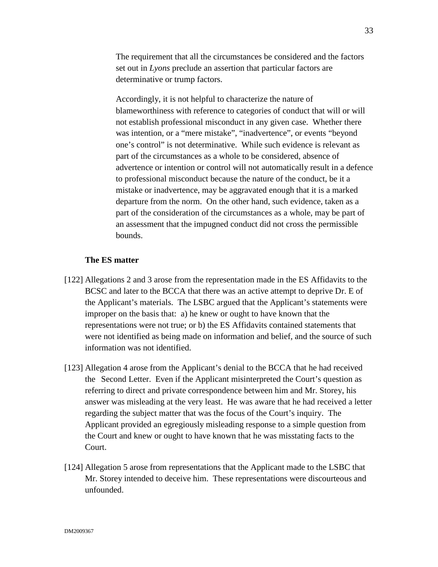The requirement that all the circumstances be considered and the factors set out in *Lyons* preclude an assertion that particular factors are determinative or trump factors.

Accordingly, it is not helpful to characterize the nature of blameworthiness with reference to categories of conduct that will or will not establish professional misconduct in any given case. Whether there was intention, or a "mere mistake", "inadvertence", or events "beyond one's control" is not determinative. While such evidence is relevant as part of the circumstances as a whole to be considered, absence of advertence or intention or control will not automatically result in a defence to professional misconduct because the nature of the conduct, be it a mistake or inadvertence, may be aggravated enough that it is a marked departure from the norm. On the other hand, such evidence, taken as a part of the consideration of the circumstances as a whole, may be part of an assessment that the impugned conduct did not cross the permissible bounds.

# **The ES matter**

- [122] Allegations 2 and 3 arose from the representation made in the ES Affidavits to the BCSC and later to the BCCA that there was an active attempt to deprive Dr. E of the Applicant's materials. The LSBC argued that the Applicant's statements were improper on the basis that: a) he knew or ought to have known that the representations were not true; or b) the ES Affidavits contained statements that were not identified as being made on information and belief, and the source of such information was not identified.
- [123] Allegation 4 arose from the Applicant's denial to the BCCA that he had received the Second Letter. Even if the Applicant misinterpreted the Court's question as referring to direct and private correspondence between him and Mr. Storey, his answer was misleading at the very least. He was aware that he had received a letter regarding the subject matter that was the focus of the Court's inquiry. The Applicant provided an egregiously misleading response to a simple question from the Court and knew or ought to have known that he was misstating facts to the Court.
- [124] Allegation 5 arose from representations that the Applicant made to the LSBC that Mr. Storey intended to deceive him. These representations were discourteous and unfounded.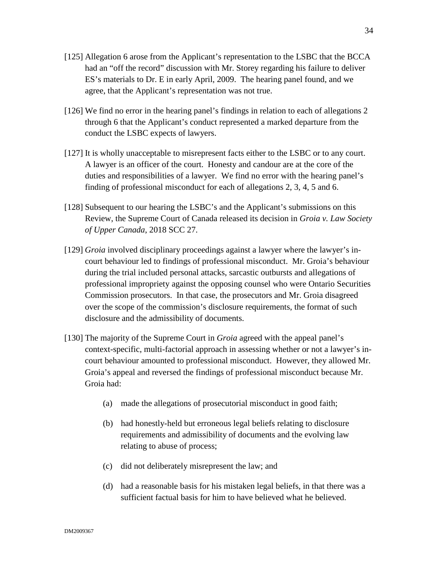- [125] Allegation 6 arose from the Applicant's representation to the LSBC that the BCCA had an "off the record" discussion with Mr. Storey regarding his failure to deliver ES's materials to Dr. E in early April, 2009. The hearing panel found, and we agree, that the Applicant's representation was not true.
- [126] We find no error in the hearing panel's findings in relation to each of allegations 2 through 6 that the Applicant's conduct represented a marked departure from the conduct the LSBC expects of lawyers.
- [127] It is wholly unacceptable to misrepresent facts either to the LSBC or to any court. A lawyer is an officer of the court. Honesty and candour are at the core of the duties and responsibilities of a lawyer. We find no error with the hearing panel's finding of professional misconduct for each of allegations 2, 3, 4, 5 and 6.
- [128] Subsequent to our hearing the LSBC's and the Applicant's submissions on this Review, the Supreme Court of Canada released its decision in *Groia v. Law Society of Upper Canada*, 2018 SCC 27.
- [129] *Groia* involved disciplinary proceedings against a lawyer where the lawyer's incourt behaviour led to findings of professional misconduct. Mr. Groia's behaviour during the trial included personal attacks, sarcastic outbursts and allegations of professional impropriety against the opposing counsel who were Ontario Securities Commission prosecutors. In that case, the prosecutors and Mr. Groia disagreed over the scope of the commission's disclosure requirements, the format of such disclosure and the admissibility of documents.
- [130] The majority of the Supreme Court in *Groia* agreed with the appeal panel's context-specific, multi-factorial approach in assessing whether or not a lawyer's incourt behaviour amounted to professional misconduct. However, they allowed Mr. Groia's appeal and reversed the findings of professional misconduct because Mr. Groia had:
	- (a) made the allegations of prosecutorial misconduct in good faith;
	- (b) had honestly-held but erroneous legal beliefs relating to disclosure requirements and admissibility of documents and the evolving law relating to abuse of process;
	- (c) did not deliberately misrepresent the law; and
	- (d) had a reasonable basis for his mistaken legal beliefs, in that there was a sufficient factual basis for him to have believed what he believed.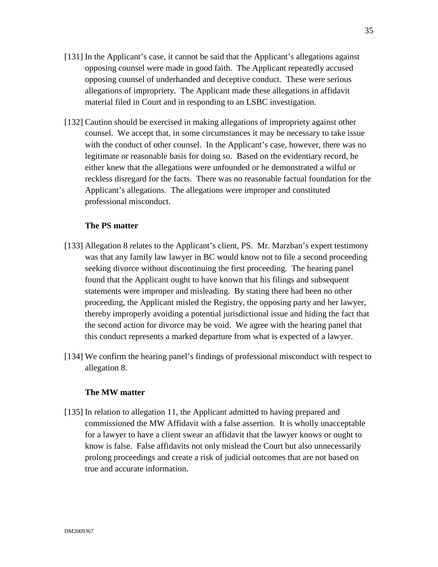- [131] In the Applicant's case, it cannot be said that the Applicant's allegations against opposing counsel were made in good faith. The Applicant repeatedly accused opposing counsel of underhanded and deceptive conduct. These were serious allegations of impropriety. The Applicant made these allegations in affidavit material filed in Court and in responding to an LSBC investigation.
- [132] Caution should be exercised in making allegations of impropriety against other counsel. We accept that, in some circumstances it may be necessary to take issue with the conduct of other counsel. In the Applicant's case, however, there was no legitimate or reasonable basis for doing so. Based on the evidentiary record, he either knew that the allegations were unfounded or he demonstrated a wilful or reckless disregard for the facts. There was no reasonable factual foundation for the Applicant's allegations. The allegations were improper and constituted professional misconduct.

## **The PS matter**

- [133] Allegation 8 relates to the Applicant's client, PS. Mr. Marzban's expert testimony was that any family law lawyer in BC would know not to file a second proceeding seeking divorce without discontinuing the first proceeding. The hearing panel found that the Applicant ought to have known that his filings and subsequent statements were improper and misleading. By stating there had been no other proceeding, the Applicant misled the Registry, the opposing party and her lawyer, thereby improperly avoiding a potential jurisdictional issue and hiding the fact that the second action for divorce may be void. We agree with the hearing panel that this conduct represents a marked departure from what is expected of a lawyer.
- [134] We confirm the hearing panel's findings of professional misconduct with respect to allegation 8.

#### **The MW matter**

[135] In relation to allegation 11, the Applicant admitted to having prepared and commissioned the MW Affidavit with a false assertion. It is wholly unacceptable for a lawyer to have a client swear an affidavit that the lawyer knows or ought to know is false. False affidavits not only mislead the Court but also unnecessarily prolong proceedings and create a risk of judicial outcomes that are not based on true and accurate information.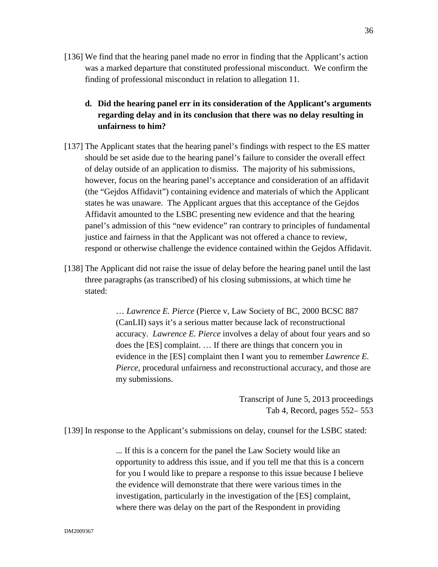- [136] We find that the hearing panel made no error in finding that the Applicant's action was a marked departure that constituted professional misconduct. We confirm the finding of professional misconduct in relation to allegation 11.
	- **d. Did the hearing panel err in its consideration of the Applicant's arguments regarding delay and in its conclusion that there was no delay resulting in unfairness to him?**
- [137] The Applicant states that the hearing panel's findings with respect to the ES matter should be set aside due to the hearing panel's failure to consider the overall effect of delay outside of an application to dismiss. The majority of his submissions, however, focus on the hearing panel's acceptance and consideration of an affidavit (the "Gejdos Affidavit") containing evidence and materials of which the Applicant states he was unaware. The Applicant argues that this acceptance of the Gejdos Affidavit amounted to the LSBC presenting new evidence and that the hearing panel's admission of this "new evidence" ran contrary to principles of fundamental justice and fairness in that the Applicant was not offered a chance to review, respond or otherwise challenge the evidence contained within the Gejdos Affidavit.
- [138] The Applicant did not raise the issue of delay before the hearing panel until the last three paragraphs (as transcribed) of his closing submissions, at which time he stated:

… *Lawrence E. Pierce* (Pierce v, Law Society of BC, 2000 BCSC 887 (CanLII) says it's a serious matter because lack of reconstructional accuracy. *Lawrence E. Pierce* involves a delay of about four years and so does the [ES] complaint. … If there are things that concern you in evidence in the [ES] complaint then I want you to remember *Lawrence E. Pierce*, procedural unfairness and reconstructional accuracy, and those are my submissions.

> Transcript of June 5, 2013 proceedings Tab 4, Record, pages 552– 553

[139] In response to the Applicant's submissions on delay, counsel for the LSBC stated:

... If this is a concern for the panel the Law Society would like an opportunity to address this issue, and if you tell me that this is a concern for you I would like to prepare a response to this issue because I believe the evidence will demonstrate that there were various times in the investigation, particularly in the investigation of the [ES] complaint, where there was delay on the part of the Respondent in providing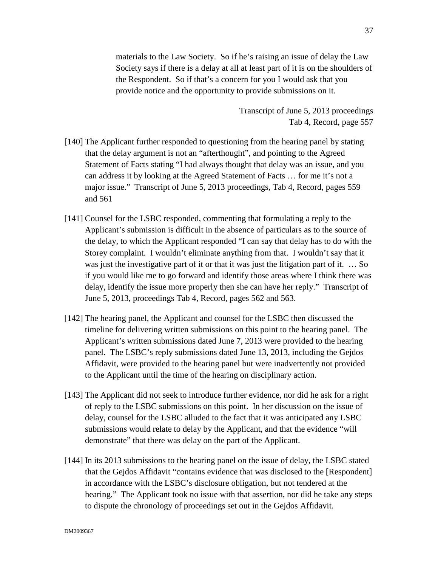materials to the Law Society. So if he's raising an issue of delay the Law Society says if there is a delay at all at least part of it is on the shoulders of the Respondent. So if that's a concern for you I would ask that you provide notice and the opportunity to provide submissions on it.

> Transcript of June 5, 2013 proceedings Tab 4, Record, page 557

- [140] The Applicant further responded to questioning from the hearing panel by stating that the delay argument is not an "afterthought", and pointing to the Agreed Statement of Facts stating "I had always thought that delay was an issue, and you can address it by looking at the Agreed Statement of Facts … for me it's not a major issue." Transcript of June 5, 2013 proceedings, Tab 4, Record, pages 559 and 561
- [141] Counsel for the LSBC responded, commenting that formulating a reply to the Applicant's submission is difficult in the absence of particulars as to the source of the delay, to which the Applicant responded "I can say that delay has to do with the Storey complaint. I wouldn't eliminate anything from that. I wouldn't say that it was just the investigative part of it or that it was just the litigation part of it. … So if you would like me to go forward and identify those areas where I think there was delay, identify the issue more properly then she can have her reply." Transcript of June 5, 2013, proceedings Tab 4, Record, pages 562 and 563.
- [142] The hearing panel, the Applicant and counsel for the LSBC then discussed the timeline for delivering written submissions on this point to the hearing panel. The Applicant's written submissions dated June 7, 2013 were provided to the hearing panel. The LSBC's reply submissions dated June 13, 2013, including the Gejdos Affidavit, were provided to the hearing panel but were inadvertently not provided to the Applicant until the time of the hearing on disciplinary action.
- [143] The Applicant did not seek to introduce further evidence, nor did he ask for a right of reply to the LSBC submissions on this point. In her discussion on the issue of delay, counsel for the LSBC alluded to the fact that it was anticipated any LSBC submissions would relate to delay by the Applicant, and that the evidence "will demonstrate" that there was delay on the part of the Applicant.
- [144] In its 2013 submissions to the hearing panel on the issue of delay, the LSBC stated that the Gejdos Affidavit "contains evidence that was disclosed to the [Respondent] in accordance with the LSBC's disclosure obligation, but not tendered at the hearing." The Applicant took no issue with that assertion, nor did he take any steps to dispute the chronology of proceedings set out in the Gejdos Affidavit.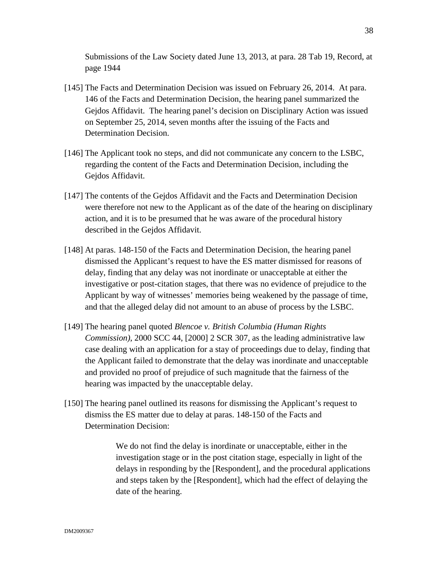Submissions of the Law Society dated June 13, 2013, at para. 28 Tab 19, Record, at page 1944

- [145] The Facts and Determination Decision was issued on February 26, 2014. At para. 146 of the Facts and Determination Decision, the hearing panel summarized the Gejdos Affidavit. The hearing panel's decision on Disciplinary Action was issued on September 25, 2014, seven months after the issuing of the Facts and Determination Decision.
- [146] The Applicant took no steps, and did not communicate any concern to the LSBC, regarding the content of the Facts and Determination Decision, including the Gejdos Affidavit.
- [147] The contents of the Gejdos Affidavit and the Facts and Determination Decision were therefore not new to the Applicant as of the date of the hearing on disciplinary action, and it is to be presumed that he was aware of the procedural history described in the Gejdos Affidavit.
- [148] At paras. 148-150 of the Facts and Determination Decision, the hearing panel dismissed the Applicant's request to have the ES matter dismissed for reasons of delay, finding that any delay was not inordinate or unacceptable at either the investigative or post-citation stages, that there was no evidence of prejudice to the Applicant by way of witnesses' memories being weakened by the passage of time, and that the alleged delay did not amount to an abuse of process by the LSBC.
- [149] The hearing panel quoted *Blencoe v. British Columbia (Human Rights Commission)*, 2000 SCC 44, [2000] 2 SCR 307, as the leading administrative law case dealing with an application for a stay of proceedings due to delay, finding that the Applicant failed to demonstrate that the delay was inordinate and unacceptable and provided no proof of prejudice of such magnitude that the fairness of the hearing was impacted by the unacceptable delay.
- [150] The hearing panel outlined its reasons for dismissing the Applicant's request to dismiss the ES matter due to delay at paras. 148-150 of the Facts and Determination Decision:

We do not find the delay is inordinate or unacceptable, either in the investigation stage or in the post citation stage, especially in light of the delays in responding by the [Respondent], and the procedural applications and steps taken by the [Respondent], which had the effect of delaying the date of the hearing.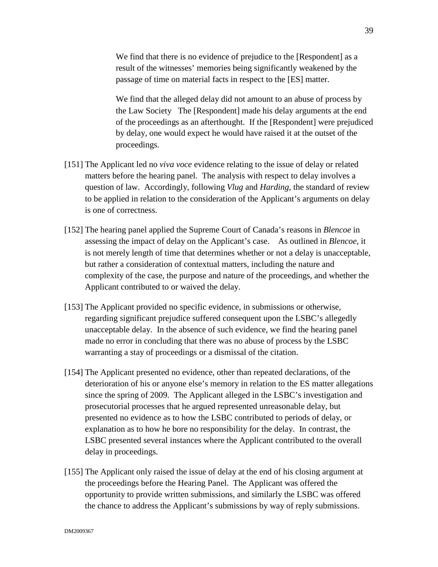We find that there is no evidence of prejudice to the [Respondent] as a result of the witnesses' memories being significantly weakened by the passage of time on material facts in respect to the [ES] matter.

We find that the alleged delay did not amount to an abuse of process by the Law Society The [Respondent] made his delay arguments at the end of the proceedings as an afterthought. If the [Respondent] were prejudiced by delay, one would expect he would have raised it at the outset of the proceedings.

- [151] The Applicant led no *viva voce* evidence relating to the issue of delay or related matters before the hearing panel. The analysis with respect to delay involves a question of law. Accordingly, following *Vlug* and *Harding*, the standard of review to be applied in relation to the consideration of the Applicant's arguments on delay is one of correctness.
- [152] The hearing panel applied the Supreme Court of Canada's reasons in *Blencoe* in assessing the impact of delay on the Applicant's case. As outlined in *Blencoe*, it is not merely length of time that determines whether or not a delay is unacceptable, but rather a consideration of contextual matters, including the nature and complexity of the case, the purpose and nature of the proceedings, and whether the Applicant contributed to or waived the delay.
- [153] The Applicant provided no specific evidence, in submissions or otherwise, regarding significant prejudice suffered consequent upon the LSBC's allegedly unacceptable delay. In the absence of such evidence, we find the hearing panel made no error in concluding that there was no abuse of process by the LSBC warranting a stay of proceedings or a dismissal of the citation.
- [154] The Applicant presented no evidence, other than repeated declarations, of the deterioration of his or anyone else's memory in relation to the ES matter allegations since the spring of 2009. The Applicant alleged in the LSBC's investigation and prosecutorial processes that he argued represented unreasonable delay, but presented no evidence as to how the LSBC contributed to periods of delay, or explanation as to how he bore no responsibility for the delay. In contrast, the LSBC presented several instances where the Applicant contributed to the overall delay in proceedings.
- [155] The Applicant only raised the issue of delay at the end of his closing argument at the proceedings before the Hearing Panel. The Applicant was offered the opportunity to provide written submissions, and similarly the LSBC was offered the chance to address the Applicant's submissions by way of reply submissions.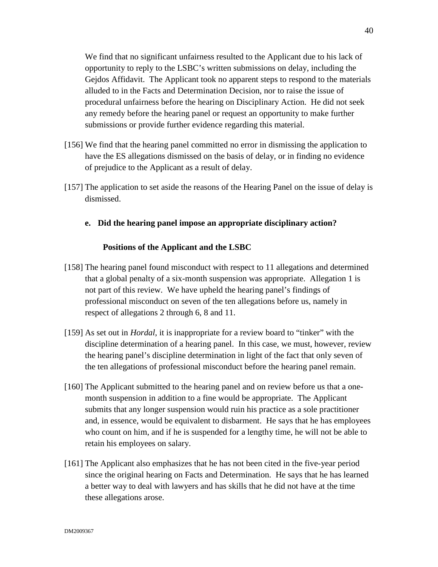We find that no significant unfairness resulted to the Applicant due to his lack of opportunity to reply to the LSBC's written submissions on delay, including the Gejdos Affidavit. The Applicant took no apparent steps to respond to the materials alluded to in the Facts and Determination Decision, nor to raise the issue of procedural unfairness before the hearing on Disciplinary Action. He did not seek any remedy before the hearing panel or request an opportunity to make further submissions or provide further evidence regarding this material.

- [156] We find that the hearing panel committed no error in dismissing the application to have the ES allegations dismissed on the basis of delay, or in finding no evidence of prejudice to the Applicant as a result of delay.
- [157] The application to set aside the reasons of the Hearing Panel on the issue of delay is dismissed.

# **e. Did the hearing panel impose an appropriate disciplinary action?**

### **Positions of the Applicant and the LSBC**

- [158] The hearing panel found misconduct with respect to 11 allegations and determined that a global penalty of a six-month suspension was appropriate. Allegation 1 is not part of this review. We have upheld the hearing panel's findings of professional misconduct on seven of the ten allegations before us, namely in respect of allegations 2 through 6, 8 and 11.
- [159] As set out in *Hordal*, it is inappropriate for a review board to "tinker" with the discipline determination of a hearing panel. In this case, we must, however, review the hearing panel's discipline determination in light of the fact that only seven of the ten allegations of professional misconduct before the hearing panel remain.
- [160] The Applicant submitted to the hearing panel and on review before us that a onemonth suspension in addition to a fine would be appropriate. The Applicant submits that any longer suspension would ruin his practice as a sole practitioner and, in essence, would be equivalent to disbarment. He says that he has employees who count on him, and if he is suspended for a lengthy time, he will not be able to retain his employees on salary.
- [161] The Applicant also emphasizes that he has not been cited in the five-year period since the original hearing on Facts and Determination. He says that he has learned a better way to deal with lawyers and has skills that he did not have at the time these allegations arose.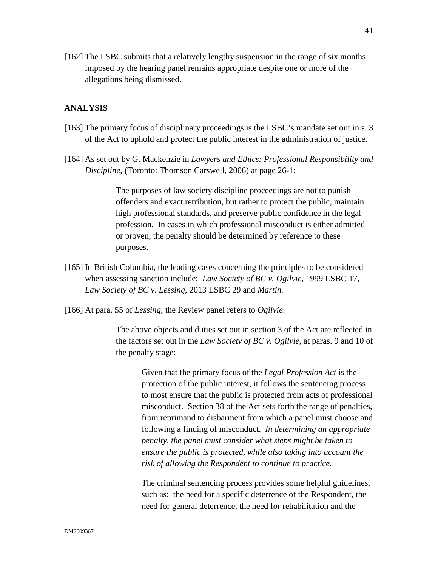[162] The LSBC submits that a relatively lengthy suspension in the range of six months imposed by the hearing panel remains appropriate despite one or more of the allegations being dismissed.

### **ANALYSIS**

- [163] The primary focus of disciplinary proceedings is the LSBC's mandate set out in s. 3 of the Act to uphold and protect the public interest in the administration of justice.
- [164] As set out by G. Mackenzie in *Lawyers and Ethics: Professional Responsibility and Discipline*, (Toronto: Thomson Carswell, 2006) at page 26-1:

The purposes of law society discipline proceedings are not to punish offenders and exact retribution, but rather to protect the public, maintain high professional standards, and preserve public confidence in the legal profession. In cases in which professional misconduct is either admitted or proven, the penalty should be determined by reference to these purposes.

- [165] In British Columbia, the leading cases concerning the principles to be considered when assessing sanction include: *Law Society of BC v. Ogilvie*, 1999 LSBC 17, *Law Society of BC v. Lessing*, 2013 LSBC 29 and *Martin.*
- [166] At para. 55 of *Lessing*, the Review panel refers to *Ogilvie*:

The above objects and duties set out in section 3 of the Act are reflected in the factors set out in the *Law Society of BC v. Ogilvie*, at paras. 9 and 10 of the penalty stage:

Given that the primary focus of the *Legal Profession Act* is the protection of the public interest, it follows the sentencing process to most ensure that the public is protected from acts of professional misconduct. Section 38 of the Act sets forth the range of penalties, from reprimand to disbarment from which a panel must choose and following a finding of misconduct. *In determining an appropriate penalty, the panel must consider what steps might be taken to ensure the public is protected, while also taking into account the risk of allowing the Respondent to continue to practice.* 

The criminal sentencing process provides some helpful guidelines, such as: the need for a specific deterrence of the Respondent, the need for general deterrence, the need for rehabilitation and the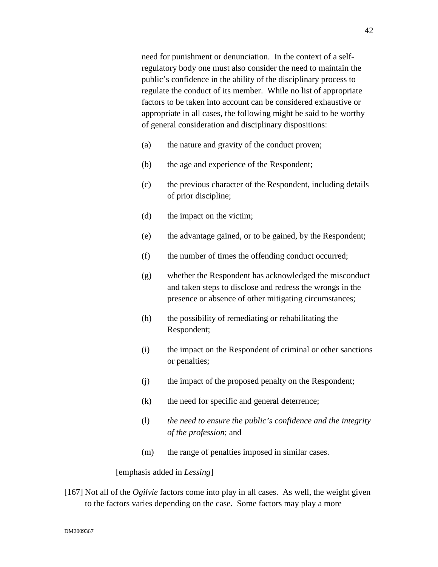need for punishment or denunciation. In the context of a selfregulatory body one must also consider the need to maintain the public's confidence in the ability of the disciplinary process to regulate the conduct of its member. While no list of appropriate factors to be taken into account can be considered exhaustive or appropriate in all cases, the following might be said to be worthy of general consideration and disciplinary dispositions:

- (a) the nature and gravity of the conduct proven;
- (b) the age and experience of the Respondent;
- (c) the previous character of the Respondent, including details of prior discipline;
- (d) the impact on the victim;
- (e) the advantage gained, or to be gained, by the Respondent;
- (f) the number of times the offending conduct occurred;
- (g) whether the Respondent has acknowledged the misconduct and taken steps to disclose and redress the wrongs in the presence or absence of other mitigating circumstances;
- (h) the possibility of remediating or rehabilitating the Respondent;
- (i) the impact on the Respondent of criminal or other sanctions or penalties;
- (j) the impact of the proposed penalty on the Respondent;
- (k) the need for specific and general deterrence;
- (l) *the need to ensure the public's confidence and the integrity of the profession*; and
- (m) the range of penalties imposed in similar cases.

[emphasis added in *Lessing*]

[167] Not all of the *Ogilvie* factors come into play in all cases. As well, the weight given to the factors varies depending on the case. Some factors may play a more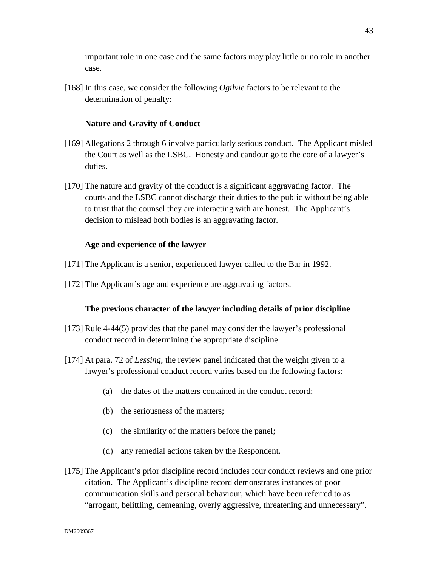important role in one case and the same factors may play little or no role in another case.

[168] In this case, we consider the following *Ogilvie* factors to be relevant to the determination of penalty:

## **Nature and Gravity of Conduct**

- [169] Allegations 2 through 6 involve particularly serious conduct. The Applicant misled the Court as well as the LSBC. Honesty and candour go to the core of a lawyer's duties.
- [170] The nature and gravity of the conduct is a significant aggravating factor. The courts and the LSBC cannot discharge their duties to the public without being able to trust that the counsel they are interacting with are honest. The Applicant's decision to mislead both bodies is an aggravating factor.

## **Age and experience of the lawyer**

- [171] The Applicant is a senior, experienced lawyer called to the Bar in 1992.
- [172] The Applicant's age and experience are aggravating factors.

### **The previous character of the lawyer including details of prior discipline**

- [173] Rule 4-44(5) provides that the panel may consider the lawyer's professional conduct record in determining the appropriate discipline.
- [174] At para. 72 of *Lessing*, the review panel indicated that the weight given to a lawyer's professional conduct record varies based on the following factors:
	- (a) the dates of the matters contained in the conduct record;
	- (b) the seriousness of the matters;
	- (c) the similarity of the matters before the panel;
	- (d) any remedial actions taken by the Respondent.
- [175] The Applicant's prior discipline record includes four conduct reviews and one prior citation. The Applicant's discipline record demonstrates instances of poor communication skills and personal behaviour, which have been referred to as "arrogant, belittling, demeaning, overly aggressive, threatening and unnecessary".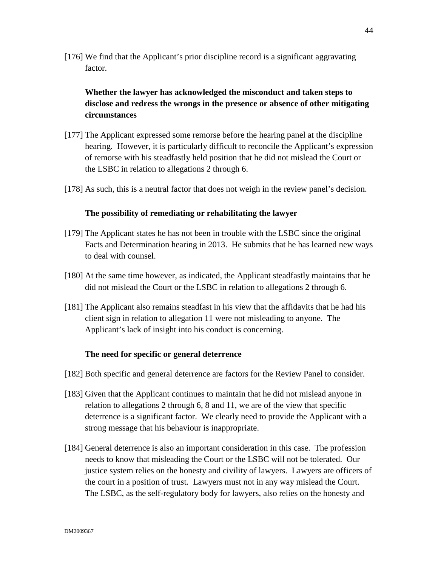[176] We find that the Applicant's prior discipline record is a significant aggravating factor.

# **Whether the lawyer has acknowledged the misconduct and taken steps to disclose and redress the wrongs in the presence or absence of other mitigating circumstances**

- [177] The Applicant expressed some remorse before the hearing panel at the discipline hearing. However, it is particularly difficult to reconcile the Applicant's expression of remorse with his steadfastly held position that he did not mislead the Court or the LSBC in relation to allegations 2 through 6.
- [178] As such, this is a neutral factor that does not weigh in the review panel's decision.

# **The possibility of remediating or rehabilitating the lawyer**

- [179] The Applicant states he has not been in trouble with the LSBC since the original Facts and Determination hearing in 2013. He submits that he has learned new ways to deal with counsel.
- [180] At the same time however, as indicated, the Applicant steadfastly maintains that he did not mislead the Court or the LSBC in relation to allegations 2 through 6.
- [181] The Applicant also remains steadfast in his view that the affidavits that he had his client sign in relation to allegation 11 were not misleading to anyone. The Applicant's lack of insight into his conduct is concerning.

# **The need for specific or general deterrence**

- [182] Both specific and general deterrence are factors for the Review Panel to consider.
- [183] Given that the Applicant continues to maintain that he did not mislead anyone in relation to allegations 2 through 6, 8 and 11, we are of the view that specific deterrence is a significant factor. We clearly need to provide the Applicant with a strong message that his behaviour is inappropriate.
- [184] General deterrence is also an important consideration in this case. The profession needs to know that misleading the Court or the LSBC will not be tolerated. Our justice system relies on the honesty and civility of lawyers. Lawyers are officers of the court in a position of trust. Lawyers must not in any way mislead the Court. The LSBC, as the self-regulatory body for lawyers, also relies on the honesty and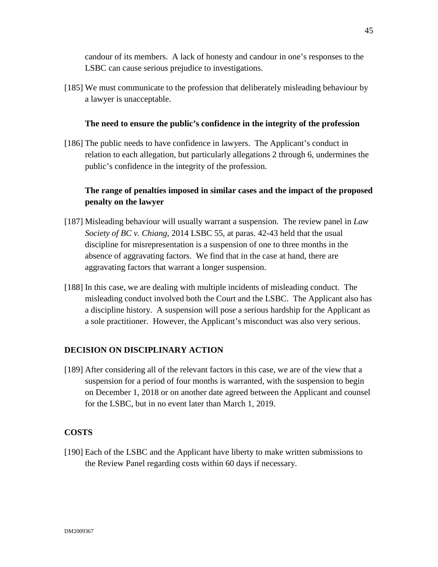candour of its members. A lack of honesty and candour in one's responses to the LSBC can cause serious prejudice to investigations.

[185] We must communicate to the profession that deliberately misleading behaviour by a lawyer is unacceptable.

# **The need to ensure the public's confidence in the integrity of the profession**

[186] The public needs to have confidence in lawyers. The Applicant's conduct in relation to each allegation, but particularly allegations 2 through 6, undermines the public's confidence in the integrity of the profession.

# **The range of penalties imposed in similar cases and the impact of the proposed penalty on the lawyer**

- [187] Misleading behaviour will usually warrant a suspension. The review panel in *Law Society of BC v. Chiang*, 2014 LSBC 55, at paras. 42-43 held that the usual discipline for misrepresentation is a suspension of one to three months in the absence of aggravating factors. We find that in the case at hand, there are aggravating factors that warrant a longer suspension.
- [188] In this case, we are dealing with multiple incidents of misleading conduct. The misleading conduct involved both the Court and the LSBC. The Applicant also has a discipline history. A suspension will pose a serious hardship for the Applicant as a sole practitioner. However, the Applicant's misconduct was also very serious.

# **DECISION ON DISCIPLINARY ACTION**

[189] After considering all of the relevant factors in this case, we are of the view that a suspension for a period of four months is warranted, with the suspension to begin on December 1, 2018 or on another date agreed between the Applicant and counsel for the LSBC, but in no event later than March 1, 2019.

# **COSTS**

[190] Each of the LSBC and the Applicant have liberty to make written submissions to the Review Panel regarding costs within 60 days if necessary.